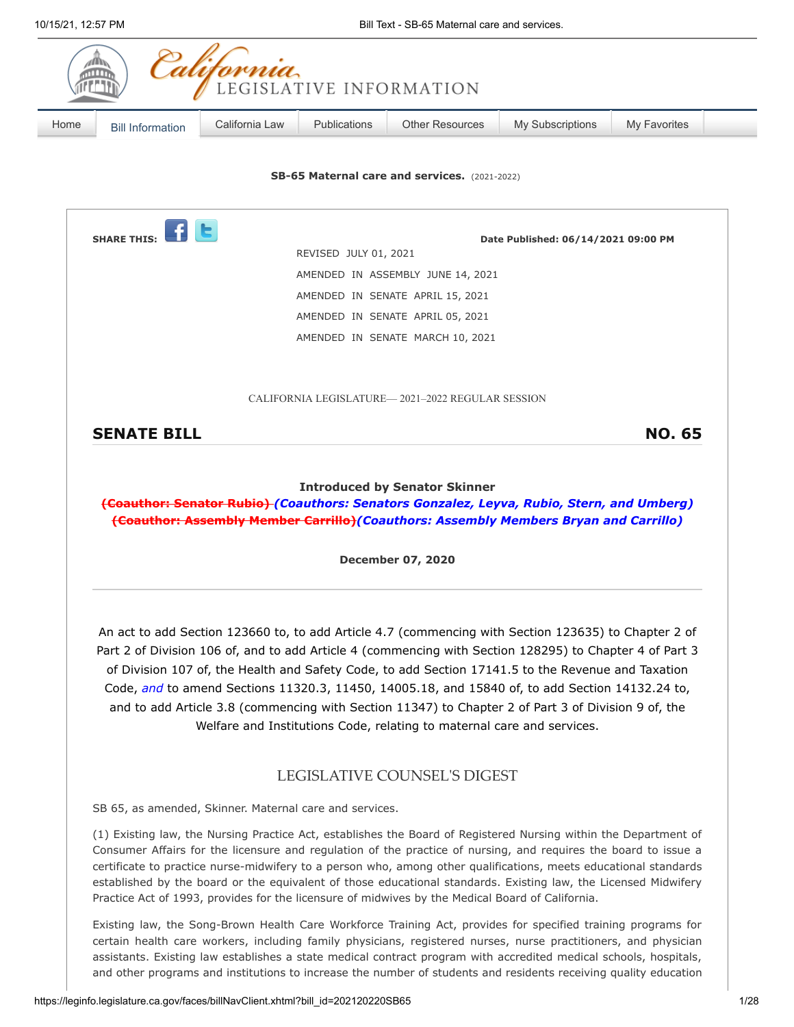| 10/15/21, 12:57 PM |                                                                                                                                                                                                                                                                                                                                                                                                                                                                                                                                                                                | Bill Text - SB-65 Maternal care and services. |              |                                                                                                                                                                                                                                                                                                                                                                                                                                                                                                                                                                                                           |                  |                     |  |  |
|--------------------|--------------------------------------------------------------------------------------------------------------------------------------------------------------------------------------------------------------------------------------------------------------------------------------------------------------------------------------------------------------------------------------------------------------------------------------------------------------------------------------------------------------------------------------------------------------------------------|-----------------------------------------------|--------------|-----------------------------------------------------------------------------------------------------------------------------------------------------------------------------------------------------------------------------------------------------------------------------------------------------------------------------------------------------------------------------------------------------------------------------------------------------------------------------------------------------------------------------------------------------------------------------------------------------------|------------------|---------------------|--|--|
|                    |                                                                                                                                                                                                                                                                                                                                                                                                                                                                                                                                                                                | California                                    |              | LEGISLATIVE INFORMATION                                                                                                                                                                                                                                                                                                                                                                                                                                                                                                                                                                                   |                  |                     |  |  |
| Home               | <b>Bill Information</b>                                                                                                                                                                                                                                                                                                                                                                                                                                                                                                                                                        | California Law                                | Publications | <b>Other Resources</b>                                                                                                                                                                                                                                                                                                                                                                                                                                                                                                                                                                                    | My Subscriptions | <b>My Favorites</b> |  |  |
|                    |                                                                                                                                                                                                                                                                                                                                                                                                                                                                                                                                                                                |                                               |              | SB-65 Maternal care and services. (2021-2022)                                                                                                                                                                                                                                                                                                                                                                                                                                                                                                                                                             |                  |                     |  |  |
|                    | <b>SHARE THIS:</b><br>Date Published: 06/14/2021 09:00 PM<br>REVISED JULY 01, 2021                                                                                                                                                                                                                                                                                                                                                                                                                                                                                             |                                               |              |                                                                                                                                                                                                                                                                                                                                                                                                                                                                                                                                                                                                           |                  |                     |  |  |
|                    |                                                                                                                                                                                                                                                                                                                                                                                                                                                                                                                                                                                |                                               |              | AMENDED IN ASSEMBLY JUNE 14, 2021                                                                                                                                                                                                                                                                                                                                                                                                                                                                                                                                                                         |                  |                     |  |  |
|                    | AMENDED IN SENATE APRIL 15, 2021                                                                                                                                                                                                                                                                                                                                                                                                                                                                                                                                               |                                               |              |                                                                                                                                                                                                                                                                                                                                                                                                                                                                                                                                                                                                           |                  |                     |  |  |
|                    |                                                                                                                                                                                                                                                                                                                                                                                                                                                                                                                                                                                |                                               |              | AMENDED IN SENATE APRIL 05, 2021                                                                                                                                                                                                                                                                                                                                                                                                                                                                                                                                                                          |                  |                     |  |  |
|                    | AMENDED IN SENATE MARCH 10, 2021                                                                                                                                                                                                                                                                                                                                                                                                                                                                                                                                               |                                               |              |                                                                                                                                                                                                                                                                                                                                                                                                                                                                                                                                                                                                           |                  |                     |  |  |
|                    |                                                                                                                                                                                                                                                                                                                                                                                                                                                                                                                                                                                |                                               |              | CALIFORNIA LEGISLATURE—2021-2022 REGULAR SESSION                                                                                                                                                                                                                                                                                                                                                                                                                                                                                                                                                          |                  |                     |  |  |
|                    | <b>SENATE BILL</b>                                                                                                                                                                                                                                                                                                                                                                                                                                                                                                                                                             |                                               |              |                                                                                                                                                                                                                                                                                                                                                                                                                                                                                                                                                                                                           |                  | <b>NO. 65</b>       |  |  |
|                    | <b>December 07, 2020</b>                                                                                                                                                                                                                                                                                                                                                                                                                                                                                                                                                       |                                               |              |                                                                                                                                                                                                                                                                                                                                                                                                                                                                                                                                                                                                           |                  |                     |  |  |
|                    |                                                                                                                                                                                                                                                                                                                                                                                                                                                                                                                                                                                |                                               |              | An act to add Section 123660 to, to add Article 4.7 (commencing with Section 123635) to Chapter 2 of<br>Part 2 of Division 106 of, and to add Article 4 (commencing with Section 128295) to Chapter 4 of Part 3<br>of Division 107 of, the Health and Safety Code, to add Section 17141.5 to the Revenue and Taxation<br>Code, and to amend Sections 11320.3, 11450, 14005.18, and 15840 of, to add Section 14132.24 to,<br>and to add Article 3.8 (commencing with Section 11347) to Chapter 2 of Part 3 of Division 9 of, the<br>Welfare and Institutions Code, relating to maternal care and services. |                  |                     |  |  |
|                    |                                                                                                                                                                                                                                                                                                                                                                                                                                                                                                                                                                                |                                               |              | LEGISLATIVE COUNSEL'S DIGEST                                                                                                                                                                                                                                                                                                                                                                                                                                                                                                                                                                              |                  |                     |  |  |
|                    | SB 65, as amended, Skinner. Maternal care and services.                                                                                                                                                                                                                                                                                                                                                                                                                                                                                                                        |                                               |              |                                                                                                                                                                                                                                                                                                                                                                                                                                                                                                                                                                                                           |                  |                     |  |  |
|                    | (1) Existing law, the Nursing Practice Act, establishes the Board of Registered Nursing within the Department of<br>Consumer Affairs for the licensure and regulation of the practice of nursing, and requires the board to issue a<br>certificate to practice nurse-midwifery to a person who, among other qualifications, meets educational standards<br>established by the board or the equivalent of those educational standards. Existing law, the Licensed Midwifery<br>Practice Act of 1993, provides for the licensure of midwives by the Medical Board of California. |                                               |              |                                                                                                                                                                                                                                                                                                                                                                                                                                                                                                                                                                                                           |                  |                     |  |  |
|                    |                                                                                                                                                                                                                                                                                                                                                                                                                                                                                                                                                                                |                                               |              | Existing law, the Song-Brown Health Care Workforce Training Act, provides for specified training programs for<br>certain health care workers, including family physicians, registered nurses, nurse practitioners, and physician<br>assistants. Existing law establishes a state medical contract program with accredited medical schools, hospitals,<br>and other programs and institutions to increase the number of students and residents receiving quality education                                                                                                                                 |                  |                     |  |  |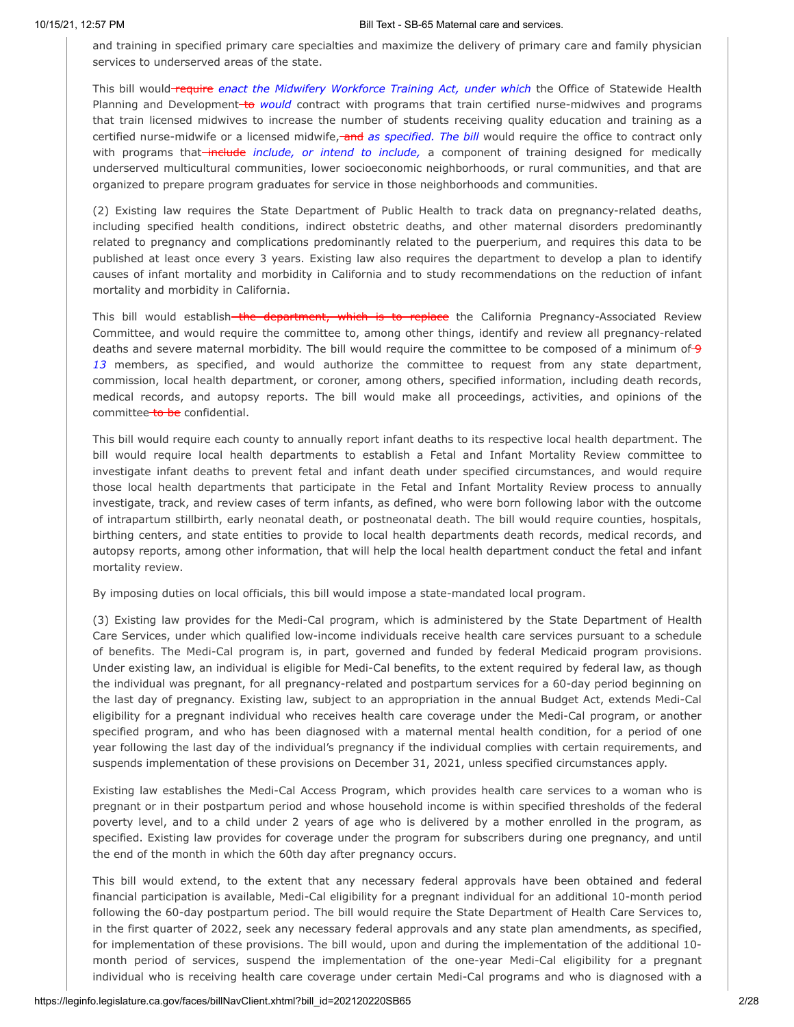and training in specified primary care specialties and maximize the delivery of primary care and family physician services to underserved areas of the state.

This bill would require *enact the Midwifery Workforce Training Act, under which* the Office of Statewide Health Planning and Development-to *would* contract with programs that train certified nurse-midwives and programs that train licensed midwives to increase the number of students receiving quality education and training as a certified nurse-midwife or a licensed midwife, and as specified. The bill would require the office to contract only with programs that-include *include, or intend to include*, a component of training designed for medically underserved multicultural communities, lower socioeconomic neighborhoods, or rural communities, and that are organized to prepare program graduates for service in those neighborhoods and communities.

(2) Existing law requires the State Department of Public Health to track data on pregnancy-related deaths, including specified health conditions, indirect obstetric deaths, and other maternal disorders predominantly related to pregnancy and complications predominantly related to the puerperium, and requires this data to be published at least once every 3 years. Existing law also requires the department to develop a plan to identify causes of infant mortality and morbidity in California and to study recommendations on the reduction of infant mortality and morbidity in California.

This bill would establish<del> the department, which is to replace</del> the California Pregnancy-Associated Review Committee, and would require the committee to, among other things, identify and review all pregnancy-related deaths and severe maternal morbidity. The bill would require the committee to be composed of a minimum of 9 *13* members, as specified, and would authorize the committee to request from any state department, commission, local health department, or coroner, among others, specified information, including death records, medical records, and autopsy reports. The bill would make all proceedings, activities, and opinions of the committee to be confidential.

This bill would require each county to annually report infant deaths to its respective local health department. The bill would require local health departments to establish a Fetal and Infant Mortality Review committee to investigate infant deaths to prevent fetal and infant death under specified circumstances, and would require those local health departments that participate in the Fetal and Infant Mortality Review process to annually investigate, track, and review cases of term infants, as defined, who were born following labor with the outcome of intrapartum stillbirth, early neonatal death, or postneonatal death. The bill would require counties, hospitals, birthing centers, and state entities to provide to local health departments death records, medical records, and autopsy reports, among other information, that will help the local health department conduct the fetal and infant mortality review.

By imposing duties on local officials, this bill would impose a state-mandated local program.

(3) Existing law provides for the Medi-Cal program, which is administered by the State Department of Health Care Services, under which qualified low-income individuals receive health care services pursuant to a schedule of benefits. The Medi-Cal program is, in part, governed and funded by federal Medicaid program provisions. Under existing law, an individual is eligible for Medi-Cal benefits, to the extent required by federal law, as though the individual was pregnant, for all pregnancy-related and postpartum services for a 60-day period beginning on the last day of pregnancy. Existing law, subject to an appropriation in the annual Budget Act, extends Medi-Cal eligibility for a pregnant individual who receives health care coverage under the Medi-Cal program, or another specified program, and who has been diagnosed with a maternal mental health condition, for a period of one year following the last day of the individual's pregnancy if the individual complies with certain requirements, and suspends implementation of these provisions on December 31, 2021, unless specified circumstances apply.

Existing law establishes the Medi-Cal Access Program, which provides health care services to a woman who is pregnant or in their postpartum period and whose household income is within specified thresholds of the federal poverty level, and to a child under 2 years of age who is delivered by a mother enrolled in the program, as specified. Existing law provides for coverage under the program for subscribers during one pregnancy, and until the end of the month in which the 60th day after pregnancy occurs.

This bill would extend, to the extent that any necessary federal approvals have been obtained and federal financial participation is available, Medi-Cal eligibility for a pregnant individual for an additional 10-month period following the 60-day postpartum period. The bill would require the State Department of Health Care Services to, in the first quarter of 2022, seek any necessary federal approvals and any state plan amendments, as specified, for implementation of these provisions. The bill would, upon and during the implementation of the additional 10 month period of services, suspend the implementation of the one-year Medi-Cal eligibility for a pregnant individual who is receiving health care coverage under certain Medi-Cal programs and who is diagnosed with a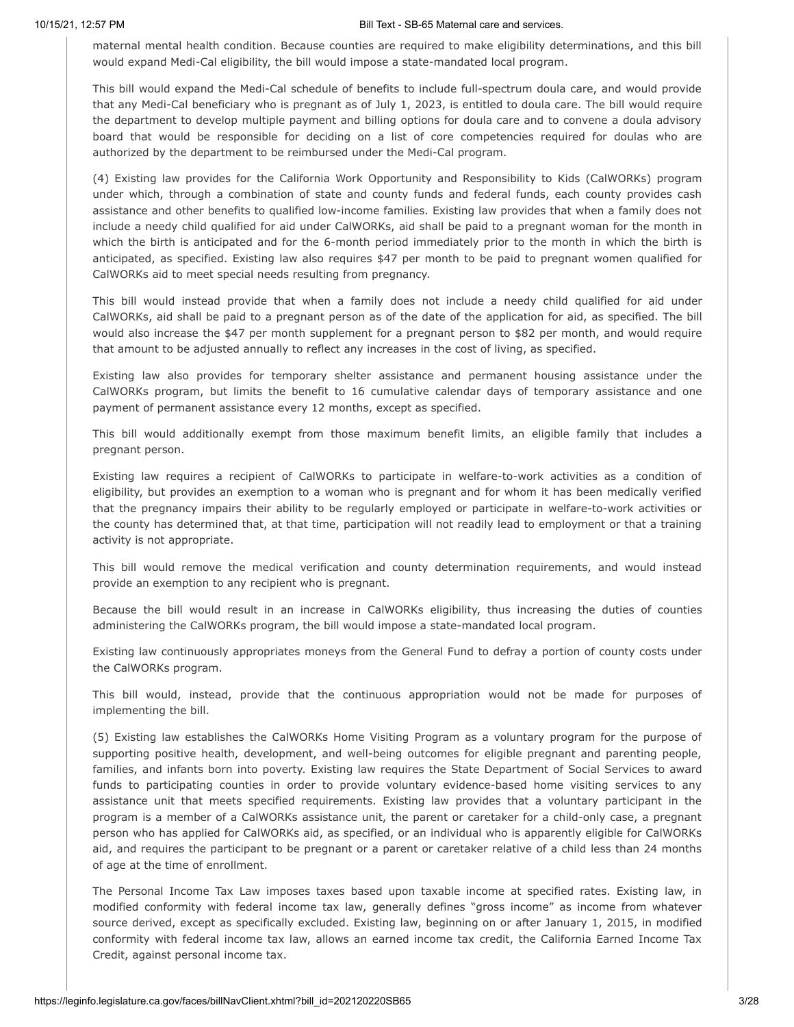maternal mental health condition. Because counties are required to make eligibility determinations, and this bill would expand Medi-Cal eligibility, the bill would impose a state-mandated local program.

This bill would expand the Medi-Cal schedule of benefits to include full-spectrum doula care, and would provide that any Medi-Cal beneficiary who is pregnant as of July 1, 2023, is entitled to doula care. The bill would require the department to develop multiple payment and billing options for doula care and to convene a doula advisory board that would be responsible for deciding on a list of core competencies required for doulas who are authorized by the department to be reimbursed under the Medi-Cal program.

(4) Existing law provides for the California Work Opportunity and Responsibility to Kids (CalWORKs) program under which, through a combination of state and county funds and federal funds, each county provides cash assistance and other benefits to qualified low-income families. Existing law provides that when a family does not include a needy child qualified for aid under CalWORKs, aid shall be paid to a pregnant woman for the month in which the birth is anticipated and for the 6-month period immediately prior to the month in which the birth is anticipated, as specified. Existing law also requires \$47 per month to be paid to pregnant women qualified for CalWORKs aid to meet special needs resulting from pregnancy.

This bill would instead provide that when a family does not include a needy child qualified for aid under CalWORKs, aid shall be paid to a pregnant person as of the date of the application for aid, as specified. The bill would also increase the \$47 per month supplement for a pregnant person to \$82 per month, and would require that amount to be adjusted annually to reflect any increases in the cost of living, as specified.

Existing law also provides for temporary shelter assistance and permanent housing assistance under the CalWORKs program, but limits the benefit to 16 cumulative calendar days of temporary assistance and one payment of permanent assistance every 12 months, except as specified.

This bill would additionally exempt from those maximum benefit limits, an eligible family that includes a pregnant person.

Existing law requires a recipient of CalWORKs to participate in welfare-to-work activities as a condition of eligibility, but provides an exemption to a woman who is pregnant and for whom it has been medically verified that the pregnancy impairs their ability to be regularly employed or participate in welfare-to-work activities or the county has determined that, at that time, participation will not readily lead to employment or that a training activity is not appropriate.

This bill would remove the medical verification and county determination requirements, and would instead provide an exemption to any recipient who is pregnant.

Because the bill would result in an increase in CalWORKs eligibility, thus increasing the duties of counties administering the CalWORKs program, the bill would impose a state-mandated local program.

Existing law continuously appropriates moneys from the General Fund to defray a portion of county costs under the CalWORKs program.

This bill would, instead, provide that the continuous appropriation would not be made for purposes of implementing the bill.

(5) Existing law establishes the CalWORKs Home Visiting Program as a voluntary program for the purpose of supporting positive health, development, and well-being outcomes for eligible pregnant and parenting people, families, and infants born into poverty. Existing law requires the State Department of Social Services to award funds to participating counties in order to provide voluntary evidence-based home visiting services to any assistance unit that meets specified requirements. Existing law provides that a voluntary participant in the program is a member of a CalWORKs assistance unit, the parent or caretaker for a child-only case, a pregnant person who has applied for CalWORKs aid, as specified, or an individual who is apparently eligible for CalWORKs aid, and requires the participant to be pregnant or a parent or caretaker relative of a child less than 24 months of age at the time of enrollment.

The Personal Income Tax Law imposes taxes based upon taxable income at specified rates. Existing law, in modified conformity with federal income tax law, generally defines "gross income" as income from whatever source derived, except as specifically excluded. Existing law, beginning on or after January 1, 2015, in modified conformity with federal income tax law, allows an earned income tax credit, the California Earned Income Tax Credit, against personal income tax.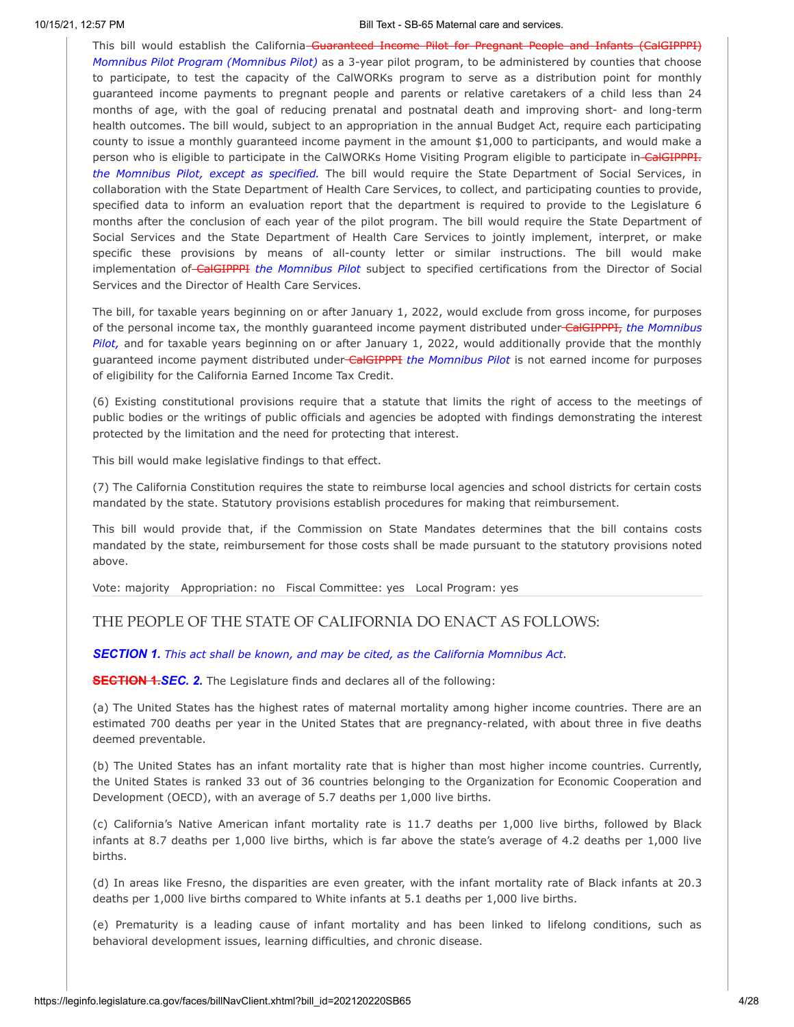This bill would establish the California Guaranteed Income Pilot for Pregnant People and Infants (CalGIPPPI) *Momnibus Pilot Program (Momnibus Pilot)* as a 3-year pilot program, to be administered by counties that choose to participate, to test the capacity of the CalWORKs program to serve as a distribution point for monthly guaranteed income payments to pregnant people and parents or relative caretakers of a child less than 24 months of age, with the goal of reducing prenatal and postnatal death and improving short- and long-term health outcomes. The bill would, subject to an appropriation in the annual Budget Act, require each participating county to issue a monthly guaranteed income payment in the amount \$1,000 to participants, and would make a person who is eligible to participate in the CalWORKs Home Visiting Program eligible to participate in-CalGIPPPI. *the Momnibus Pilot, except as specified.* The bill would require the State Department of Social Services, in collaboration with the State Department of Health Care Services, to collect, and participating counties to provide, specified data to inform an evaluation report that the department is required to provide to the Legislature 6 months after the conclusion of each year of the pilot program. The bill would require the State Department of Social Services and the State Department of Health Care Services to jointly implement, interpret, or make specific these provisions by means of all-county letter or similar instructions. The bill would make implementation of CalGIPPPI *the Momnibus Pilot* subject to specified certifications from the Director of Social Services and the Director of Health Care Services.

The bill, for taxable years beginning on or after January 1, 2022, would exclude from gross income, for purposes of the personal income tax, the monthly guaranteed income payment distributed under CalGIPPPI, *the Momnibus Pilot,* and for taxable years beginning on or after January 1, 2022, would additionally provide that the monthly guaranteed income payment distributed under CalGIPPPI *the Momnibus Pilot* is not earned income for purposes of eligibility for the California Earned Income Tax Credit.

(6) Existing constitutional provisions require that a statute that limits the right of access to the meetings of public bodies or the writings of public officials and agencies be adopted with findings demonstrating the interest protected by the limitation and the need for protecting that interest.

This bill would make legislative findings to that effect.

(7) The California Constitution requires the state to reimburse local agencies and school districts for certain costs mandated by the state. Statutory provisions establish procedures for making that reimbursement.

This bill would provide that, if the Commission on State Mandates determines that the bill contains costs mandated by the state, reimbursement for those costs shall be made pursuant to the statutory provisions noted above.

Vote: majority Appropriation: no Fiscal Committee: yes Local Program: yes

# THE PEOPLE OF THE STATE OF CALIFORNIA DO ENACT AS FOLLOWS:

## *SECTION 1. This act shall be known, and may be cited, as the California Momnibus Act.*

**SECTION 1.***SEC. 2.* The Legislature finds and declares all of the following:

(a) The United States has the highest rates of maternal mortality among higher income countries. There are an estimated 700 deaths per year in the United States that are pregnancy-related, with about three in five deaths deemed preventable.

(b) The United States has an infant mortality rate that is higher than most higher income countries. Currently, the United States is ranked 33 out of 36 countries belonging to the Organization for Economic Cooperation and Development (OECD), with an average of 5.7 deaths per 1,000 live births.

(c) California's Native American infant mortality rate is 11.7 deaths per 1,000 live births, followed by Black infants at 8.7 deaths per 1,000 live births, which is far above the state's average of 4.2 deaths per 1,000 live births.

(d) In areas like Fresno, the disparities are even greater, with the infant mortality rate of Black infants at 20.3 deaths per 1,000 live births compared to White infants at 5.1 deaths per 1,000 live births.

(e) Prematurity is a leading cause of infant mortality and has been linked to lifelong conditions, such as behavioral development issues, learning difficulties, and chronic disease.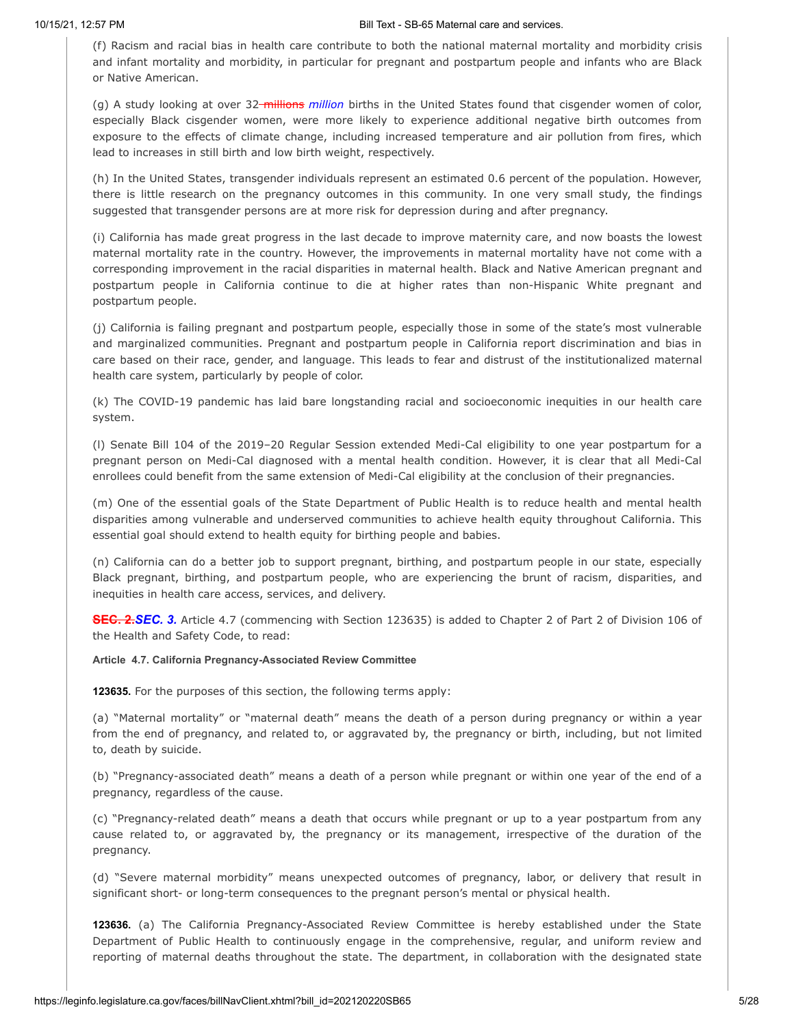(f) Racism and racial bias in health care contribute to both the national maternal mortality and morbidity crisis and infant mortality and morbidity, in particular for pregnant and postpartum people and infants who are Black or Native American.

(g) A study looking at over 32 millions *million* births in the United States found that cisgender women of color, especially Black cisgender women, were more likely to experience additional negative birth outcomes from exposure to the effects of climate change, including increased temperature and air pollution from fires, which lead to increases in still birth and low birth weight, respectively.

(h) In the United States, transgender individuals represent an estimated 0.6 percent of the population. However, there is little research on the pregnancy outcomes in this community. In one very small study, the findings suggested that transgender persons are at more risk for depression during and after pregnancy.

(i) California has made great progress in the last decade to improve maternity care, and now boasts the lowest maternal mortality rate in the country. However, the improvements in maternal mortality have not come with a corresponding improvement in the racial disparities in maternal health. Black and Native American pregnant and postpartum people in California continue to die at higher rates than non-Hispanic White pregnant and postpartum people.

(j) California is failing pregnant and postpartum people, especially those in some of the state's most vulnerable and marginalized communities. Pregnant and postpartum people in California report discrimination and bias in care based on their race, gender, and language. This leads to fear and distrust of the institutionalized maternal health care system, particularly by people of color.

(k) The COVID-19 pandemic has laid bare longstanding racial and socioeconomic inequities in our health care system.

(l) Senate Bill 104 of the 2019–20 Regular Session extended Medi-Cal eligibility to one year postpartum for a pregnant person on Medi-Cal diagnosed with a mental health condition. However, it is clear that all Medi-Cal enrollees could benefit from the same extension of Medi-Cal eligibility at the conclusion of their pregnancies.

(m) One of the essential goals of the State Department of Public Health is to reduce health and mental health disparities among vulnerable and underserved communities to achieve health equity throughout California. This essential goal should extend to health equity for birthing people and babies.

(n) California can do a better job to support pregnant, birthing, and postpartum people in our state, especially Black pregnant, birthing, and postpartum people, who are experiencing the brunt of racism, disparities, and inequities in health care access, services, and delivery.

**SEC. 2.***SEC. 3.* Article 4.7 (commencing with Section 123635) is added to Chapter 2 of Part 2 of Division 106 of the Health and Safety Code, to read:

### **Article 4.7. California Pregnancy-Associated Review Committee**

**123635.** For the purposes of this section, the following terms apply:

(a) "Maternal mortality" or "maternal death" means the death of a person during pregnancy or within a year from the end of pregnancy, and related to, or aggravated by, the pregnancy or birth, including, but not limited to, death by suicide.

(b) "Pregnancy-associated death" means a death of a person while pregnant or within one year of the end of a pregnancy, regardless of the cause.

(c) "Pregnancy-related death" means a death that occurs while pregnant or up to a year postpartum from any cause related to, or aggravated by, the pregnancy or its management, irrespective of the duration of the pregnancy.

(d) "Severe maternal morbidity" means unexpected outcomes of pregnancy, labor, or delivery that result in significant short- or long-term consequences to the pregnant person's mental or physical health.

**123636.** (a) The California Pregnancy-Associated Review Committee is hereby established under the State Department of Public Health to continuously engage in the comprehensive, regular, and uniform review and reporting of maternal deaths throughout the state. The department, in collaboration with the designated state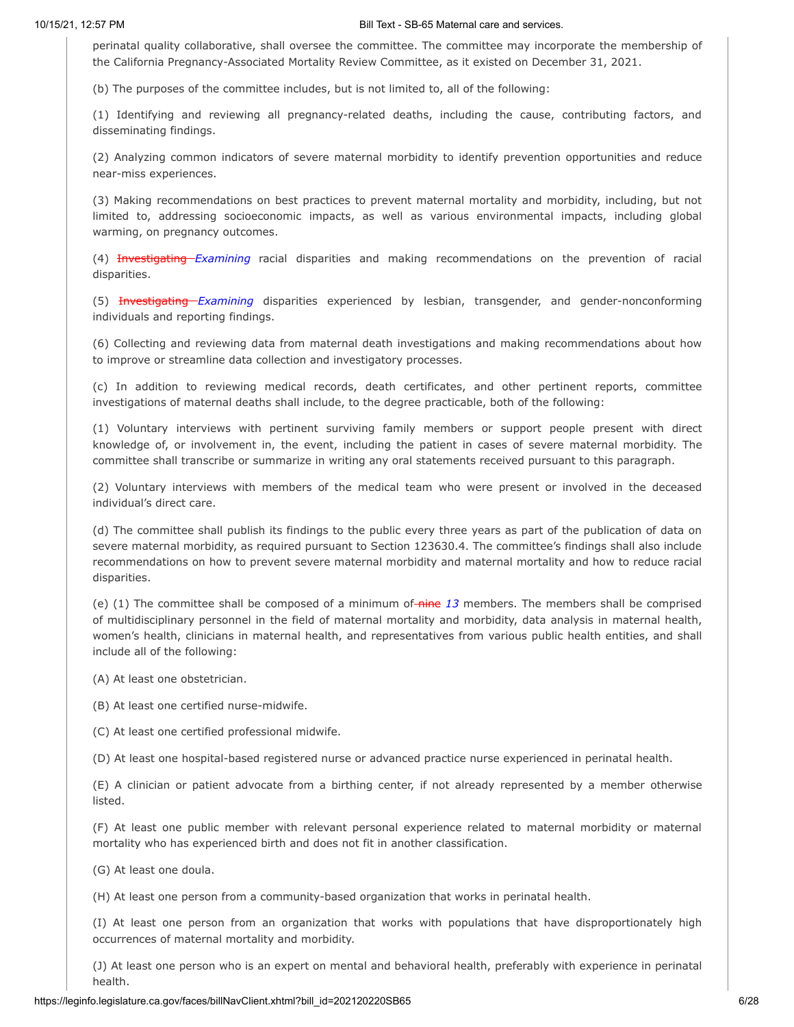perinatal quality collaborative, shall oversee the committee. The committee may incorporate the membership of the California Pregnancy-Associated Mortality Review Committee, as it existed on December 31, 2021.

(b) The purposes of the committee includes, but is not limited to, all of the following:

(1) Identifying and reviewing all pregnancy-related deaths, including the cause, contributing factors, and disseminating findings.

(2) Analyzing common indicators of severe maternal morbidity to identify prevention opportunities and reduce near-miss experiences.

(3) Making recommendations on best practices to prevent maternal mortality and morbidity, including, but not limited to, addressing socioeconomic impacts, as well as various environmental impacts, including global warming, on pregnancy outcomes.

(4) Investigating *Examining* racial disparities and making recommendations on the prevention of racial disparities.

(5) Investigating *Examining* disparities experienced by lesbian, transgender, and gender-nonconforming individuals and reporting findings.

(6) Collecting and reviewing data from maternal death investigations and making recommendations about how to improve or streamline data collection and investigatory processes.

(c) In addition to reviewing medical records, death certificates, and other pertinent reports, committee investigations of maternal deaths shall include, to the degree practicable, both of the following:

(1) Voluntary interviews with pertinent surviving family members or support people present with direct knowledge of, or involvement in, the event, including the patient in cases of severe maternal morbidity. The committee shall transcribe or summarize in writing any oral statements received pursuant to this paragraph.

(2) Voluntary interviews with members of the medical team who were present or involved in the deceased individual's direct care.

(d) The committee shall publish its findings to the public every three years as part of the publication of data on severe maternal morbidity, as required pursuant to Section 123630.4. The committee's findings shall also include recommendations on how to prevent severe maternal morbidity and maternal mortality and how to reduce racial disparities.

(e) (1) The committee shall be composed of a minimum of-nine 13 members. The members shall be comprised of multidisciplinary personnel in the field of maternal mortality and morbidity, data analysis in maternal health, women's health, clinicians in maternal health, and representatives from various public health entities, and shall include all of the following:

(A) At least one obstetrician.

(B) At least one certified nurse-midwife.

(C) At least one certified professional midwife.

(D) At least one hospital-based registered nurse or advanced practice nurse experienced in perinatal health.

(E) A clinician or patient advocate from a birthing center, if not already represented by a member otherwise listed.

(F) At least one public member with relevant personal experience related to maternal morbidity or maternal mortality who has experienced birth and does not fit in another classification.

(G) At least one doula.

(H) At least one person from a community-based organization that works in perinatal health.

(I) At least one person from an organization that works with populations that have disproportionately high occurrences of maternal mortality and morbidity.

(J) At least one person who is an expert on mental and behavioral health, preferably with experience in perinatal health.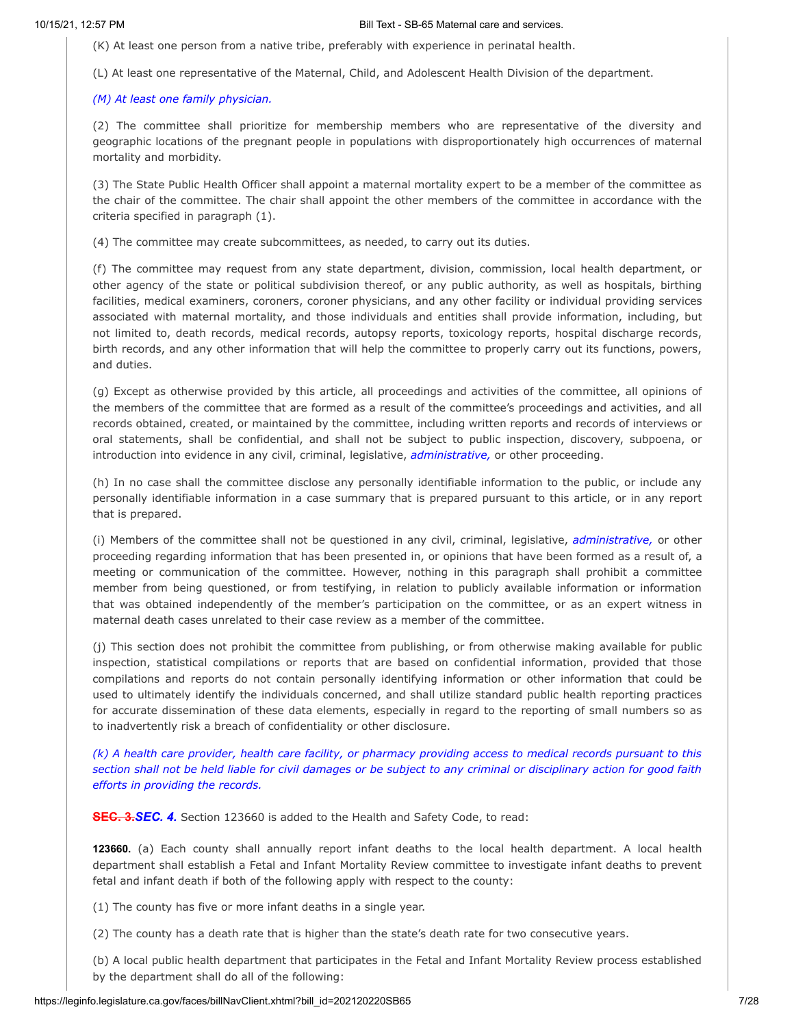(K) At least one person from a native tribe, preferably with experience in perinatal health.

(L) At least one representative of the Maternal, Child, and Adolescent Health Division of the department.

## *(M) At least one family physician.*

(2) The committee shall prioritize for membership members who are representative of the diversity and geographic locations of the pregnant people in populations with disproportionately high occurrences of maternal mortality and morbidity.

(3) The State Public Health Officer shall appoint a maternal mortality expert to be a member of the committee as the chair of the committee. The chair shall appoint the other members of the committee in accordance with the criteria specified in paragraph (1).

(4) The committee may create subcommittees, as needed, to carry out its duties.

(f) The committee may request from any state department, division, commission, local health department, or other agency of the state or political subdivision thereof, or any public authority, as well as hospitals, birthing facilities, medical examiners, coroners, coroner physicians, and any other facility or individual providing services associated with maternal mortality, and those individuals and entities shall provide information, including, but not limited to, death records, medical records, autopsy reports, toxicology reports, hospital discharge records, birth records, and any other information that will help the committee to properly carry out its functions, powers, and duties.

(g) Except as otherwise provided by this article, all proceedings and activities of the committee, all opinions of the members of the committee that are formed as a result of the committee's proceedings and activities, and all records obtained, created, or maintained by the committee, including written reports and records of interviews or oral statements, shall be confidential, and shall not be subject to public inspection, discovery, subpoena, or introduction into evidence in any civil, criminal, legislative, *administrative,* or other proceeding.

(h) In no case shall the committee disclose any personally identifiable information to the public, or include any personally identifiable information in a case summary that is prepared pursuant to this article, or in any report that is prepared.

(i) Members of the committee shall not be questioned in any civil, criminal, legislative, *administrative,* or other proceeding regarding information that has been presented in, or opinions that have been formed as a result of, a meeting or communication of the committee. However, nothing in this paragraph shall prohibit a committee member from being questioned, or from testifying, in relation to publicly available information or information that was obtained independently of the member's participation on the committee, or as an expert witness in maternal death cases unrelated to their case review as a member of the committee.

(j) This section does not prohibit the committee from publishing, or from otherwise making available for public inspection, statistical compilations or reports that are based on confidential information, provided that those compilations and reports do not contain personally identifying information or other information that could be used to ultimately identify the individuals concerned, and shall utilize standard public health reporting practices for accurate dissemination of these data elements, especially in regard to the reporting of small numbers so as to inadvertently risk a breach of confidentiality or other disclosure.

(k) A health care provider, health care facility, or pharmacy providing access to medical records pursuant to this section shall not be held liable for civil damages or be subject to any criminal or disciplinary action for good faith *efforts in providing the records.*

**SEC. 3.***SEC. 4.* Section 123660 is added to the Health and Safety Code, to read:

**123660.** (a) Each county shall annually report infant deaths to the local health department. A local health department shall establish a Fetal and Infant Mortality Review committee to investigate infant deaths to prevent fetal and infant death if both of the following apply with respect to the county:

(1) The county has five or more infant deaths in a single year.

(2) The county has a death rate that is higher than the state's death rate for two consecutive years.

(b) A local public health department that participates in the Fetal and Infant Mortality Review process established by the department shall do all of the following: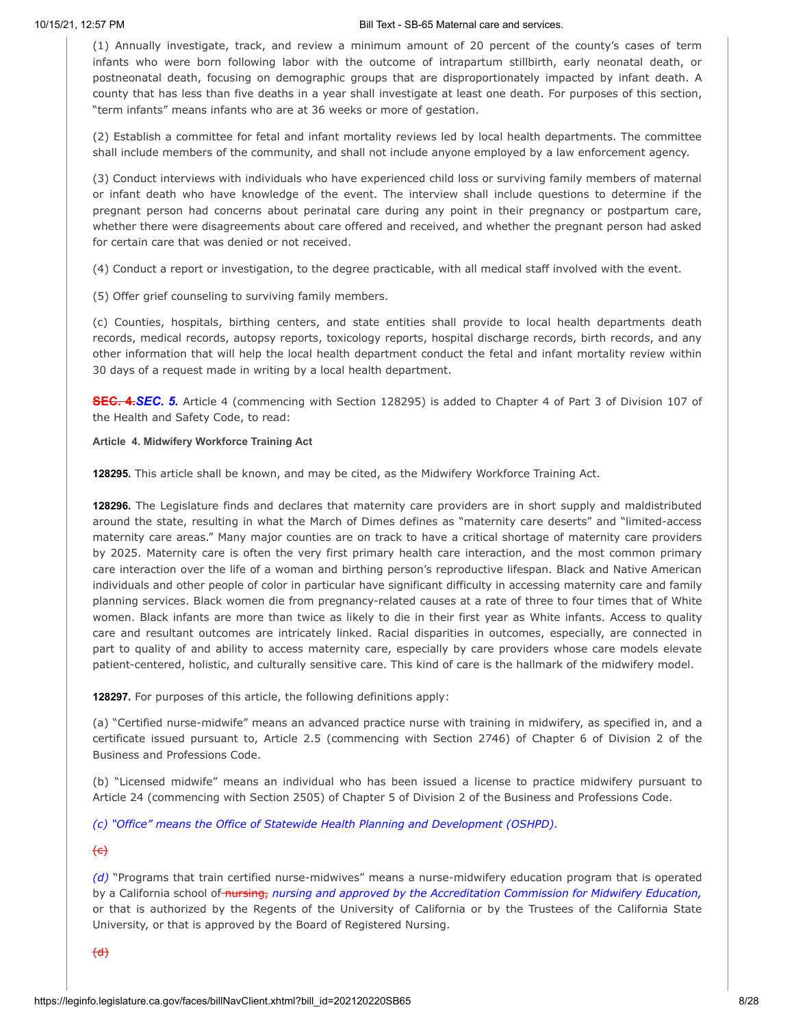(1) Annually investigate, track, and review a minimum amount of 20 percent of the county's cases of term infants who were born following labor with the outcome of intrapartum stillbirth, early neonatal death, or postneonatal death, focusing on demographic groups that are disproportionately impacted by infant death. A county that has less than five deaths in a year shall investigate at least one death. For purposes of this section, "term infants" means infants who are at 36 weeks or more of gestation.

(2) Establish a committee for fetal and infant mortality reviews led by local health departments. The committee shall include members of the community, and shall not include anyone employed by a law enforcement agency.

(3) Conduct interviews with individuals who have experienced child loss or surviving family members of maternal or infant death who have knowledge of the event. The interview shall include questions to determine if the pregnant person had concerns about perinatal care during any point in their pregnancy or postpartum care, whether there were disagreements about care offered and received, and whether the pregnant person had asked for certain care that was denied or not received.

(4) Conduct a report or investigation, to the degree practicable, with all medical staff involved with the event.

(5) Offer grief counseling to surviving family members.

(c) Counties, hospitals, birthing centers, and state entities shall provide to local health departments death records, medical records, autopsy reports, toxicology reports, hospital discharge records, birth records, and any other information that will help the local health department conduct the fetal and infant mortality review within 30 days of a request made in writing by a local health department.

**SEC. 4.***SEC. 5.* Article 4 (commencing with Section 128295) is added to Chapter 4 of Part 3 of Division 107 of the Health and Safety Code, to read:

## **Article 4. Midwifery Workforce Training Act**

**128295.** This article shall be known, and may be cited, as the Midwifery Workforce Training Act.

**128296.** The Legislature finds and declares that maternity care providers are in short supply and maldistributed around the state, resulting in what the March of Dimes defines as "maternity care deserts" and "limited-access maternity care areas." Many major counties are on track to have a critical shortage of maternity care providers by 2025. Maternity care is often the very first primary health care interaction, and the most common primary care interaction over the life of a woman and birthing person's reproductive lifespan. Black and Native American individuals and other people of color in particular have significant difficulty in accessing maternity care and family planning services. Black women die from pregnancy-related causes at a rate of three to four times that of White women. Black infants are more than twice as likely to die in their first year as White infants. Access to quality care and resultant outcomes are intricately linked. Racial disparities in outcomes, especially, are connected in part to quality of and ability to access maternity care, especially by care providers whose care models elevate patient-centered, holistic, and culturally sensitive care. This kind of care is the hallmark of the midwifery model.

**128297.** For purposes of this article, the following definitions apply:

(a) "Certified nurse-midwife" means an advanced practice nurse with training in midwifery, as specified in, and a certificate issued pursuant to, Article 2.5 (commencing with Section 2746) of Chapter 6 of Division 2 of the Business and Professions Code.

(b) "Licensed midwife" means an individual who has been issued a license to practice midwifery pursuant to Article 24 (commencing with Section 2505) of Chapter 5 of Division 2 of the Business and Professions Code.

*(c) "Office" means the Office of Statewide Health Planning and Development (OSHPD).*

 $\left\{ \right.$   $\left( \right.$   $\left( \right.$ 

*(d)* "Programs that train certified nurse-midwives" means a nurse-midwifery education program that is operated by a California school of nursing, *nursing and approved by the Accreditation Commission for Midwifery Education,* or that is authorized by the Regents of the University of California or by the Trustees of the California State University, or that is approved by the Board of Registered Nursing.

 $\left(\text{d}\right)$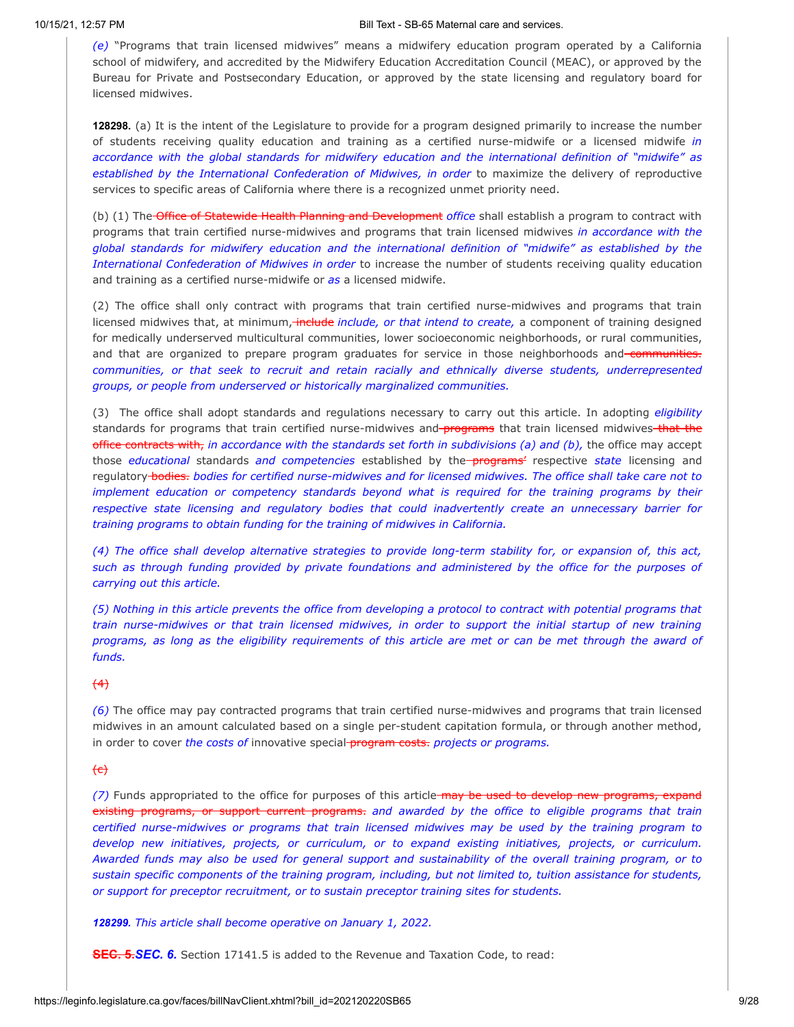*(e)* "Programs that train licensed midwives" means a midwifery education program operated by a California school of midwifery, and accredited by the Midwifery Education Accreditation Council (MEAC), or approved by the Bureau for Private and Postsecondary Education, or approved by the state licensing and regulatory board for licensed midwives.

**128298.** (a) It is the intent of the Legislature to provide for a program designed primarily to increase the number of students receiving quality education and training as a certified nurse-midwife or a licensed midwife *in accordance with the global standards for midwifery education and the international definition of "midwife" as established by the International Confederation of Midwives, in order* to maximize the delivery of reproductive services to specific areas of California where there is a recognized unmet priority need.

(b) (1) The Office of Statewide Health Planning and Development *office* shall establish a program to contract with programs that train certified nurse-midwives and programs that train licensed midwives *in accordance with the global standards for midwifery education and the international definition of "midwife" as established by the International Confederation of Midwives in order* to increase the number of students receiving quality education and training as a certified nurse-midwife or *as* a licensed midwife.

(2) The office shall only contract with programs that train certified nurse-midwives and programs that train licensed midwives that, at minimum, include *include, or that intend to create,* a component of training designed for medically underserved multicultural communities, lower socioeconomic neighborhoods, or rural communities, and that are organized to prepare program graduates for service in those neighborhoods and communities. *communities, or that seek to recruit and retain racially and ethnically diverse students, underrepresented groups, or people from underserved or historically marginalized communities.*

(3) The office shall adopt standards and regulations necessary to carry out this article. In adopting *eligibility* standards for programs that train certified nurse-midwives and programs that train licensed midwives-that the office contracts with, *in accordance with the standards set forth in subdivisions (a) and (b),* the office may accept those *educational* standards *and competencies* established by the programs' respective *state* licensing and regulatory bodies. *bodies for certified nurse-midwives and for licensed midwives. The office shall take care not to implement education or competency standards beyond what is required for the training programs by their respective state licensing and regulatory bodies that could inadvertently create an unnecessary barrier for training programs to obtain funding for the training of midwives in California.*

(4) The office shall develop alternative strategies to provide long-term stability for, or expansion of, this act, *such as through funding provided by private foundations and administered by the office for the purposes of carrying out this article.*

(5) Nothing in this article prevents the office from developing a protocol to contract with potential programs that *train nurse-midwives or that train licensed midwives, in order to support the initial startup of new training* programs, as long as the eligibility requirements of this article are met or can be met through the award of *funds.*

## $(4)$

*(6)* The office may pay contracted programs that train certified nurse-midwives and programs that train licensed midwives in an amount calculated based on a single per-student capitation formula, or through another method, in order to cover *the costs of* innovative special program costs. *projects or programs.*

## $\left\{e\right\}$

*(7)* Funds appropriated to the office for purposes of this article may be used to develop new programs, expand existing programs, or support current programs. *and awarded by the office to eligible programs that train certified nurse-midwives or programs that train licensed midwives may be used by the training program to develop new initiatives, projects, or curriculum, or to expand existing initiatives, projects, or curriculum.* Awarded funds may also be used for general support and sustainability of the overall training program, or to *sustain specific components of the training program, including, but not limited to, tuition assistance for students, or support for preceptor recruitment, or to sustain preceptor training sites for students.*

*128299. This article shall become operative on January 1, 2022.*

**SEC. 5.***SEC. 6.* Section 17141.5 is added to the Revenue and Taxation Code, to read: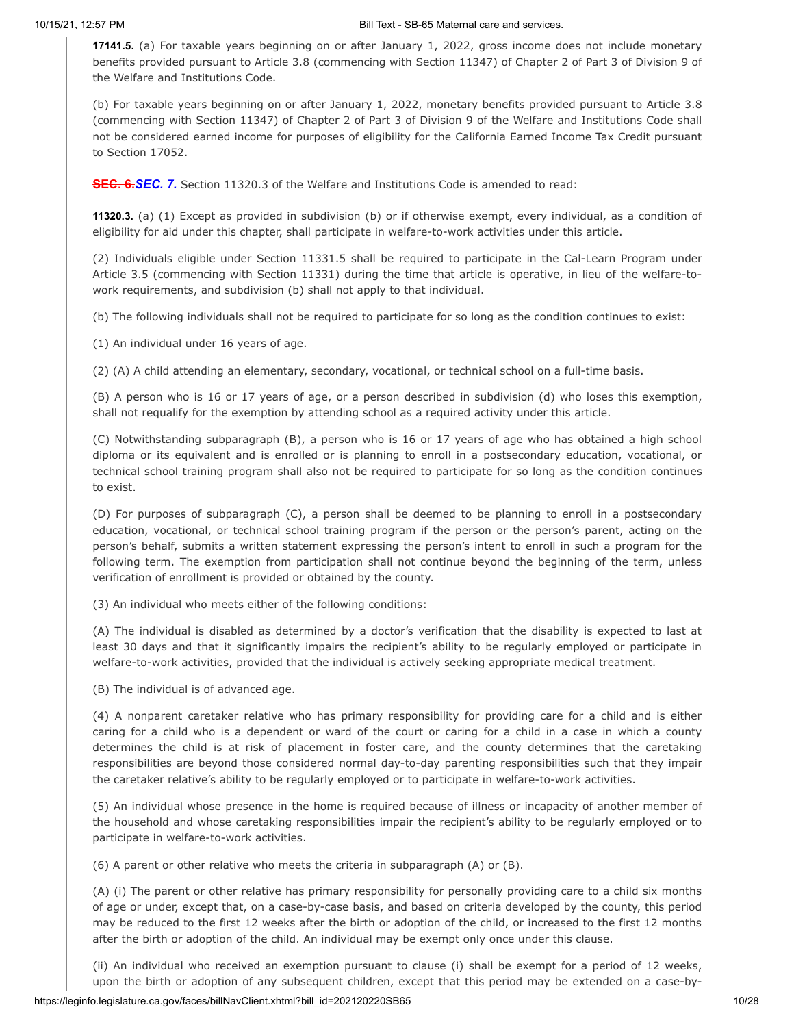**17141.5.** (a) For taxable years beginning on or after January 1, 2022, gross income does not include monetary benefits provided pursuant to Article 3.8 (commencing with Section 11347) of Chapter 2 of Part 3 of Division 9 of the Welfare and Institutions Code.

(b) For taxable years beginning on or after January 1, 2022, monetary benefits provided pursuant to Article 3.8 (commencing with Section 11347) of Chapter 2 of Part 3 of Division 9 of the Welfare and Institutions Code shall not be considered earned income for purposes of eligibility for the California Earned Income Tax Credit pursuant to Section 17052.

**SEC. 6.***SEC. 7.* Section 11320.3 of the Welfare and Institutions Code is amended to read:

**11320.3.** (a) (1) Except as provided in subdivision (b) or if otherwise exempt, every individual, as a condition of eligibility for aid under this chapter, shall participate in welfare-to-work activities under this article.

(2) Individuals eligible under Section 11331.5 shall be required to participate in the Cal-Learn Program under Article 3.5 (commencing with Section 11331) during the time that article is operative, in lieu of the welfare-towork requirements, and subdivision (b) shall not apply to that individual.

(b) The following individuals shall not be required to participate for so long as the condition continues to exist:

(1) An individual under 16 years of age.

(2) (A) A child attending an elementary, secondary, vocational, or technical school on a full-time basis.

(B) A person who is 16 or 17 years of age, or a person described in subdivision (d) who loses this exemption, shall not requalify for the exemption by attending school as a required activity under this article.

(C) Notwithstanding subparagraph (B), a person who is 16 or 17 years of age who has obtained a high school diploma or its equivalent and is enrolled or is planning to enroll in a postsecondary education, vocational, or technical school training program shall also not be required to participate for so long as the condition continues to exist.

(D) For purposes of subparagraph (C), a person shall be deemed to be planning to enroll in a postsecondary education, vocational, or technical school training program if the person or the person's parent, acting on the person's behalf, submits a written statement expressing the person's intent to enroll in such a program for the following term. The exemption from participation shall not continue beyond the beginning of the term, unless verification of enrollment is provided or obtained by the county.

(3) An individual who meets either of the following conditions:

(A) The individual is disabled as determined by a doctor's verification that the disability is expected to last at least 30 days and that it significantly impairs the recipient's ability to be regularly employed or participate in welfare-to-work activities, provided that the individual is actively seeking appropriate medical treatment.

(B) The individual is of advanced age.

(4) A nonparent caretaker relative who has primary responsibility for providing care for a child and is either caring for a child who is a dependent or ward of the court or caring for a child in a case in which a county determines the child is at risk of placement in foster care, and the county determines that the caretaking responsibilities are beyond those considered normal day-to-day parenting responsibilities such that they impair the caretaker relative's ability to be regularly employed or to participate in welfare-to-work activities.

(5) An individual whose presence in the home is required because of illness or incapacity of another member of the household and whose caretaking responsibilities impair the recipient's ability to be regularly employed or to participate in welfare-to-work activities.

(6) A parent or other relative who meets the criteria in subparagraph (A) or (B).

(A) (i) The parent or other relative has primary responsibility for personally providing care to a child six months of age or under, except that, on a case-by-case basis, and based on criteria developed by the county, this period may be reduced to the first 12 weeks after the birth or adoption of the child, or increased to the first 12 months after the birth or adoption of the child. An individual may be exempt only once under this clause.

(ii) An individual who received an exemption pursuant to clause (i) shall be exempt for a period of 12 weeks, upon the birth or adoption of any subsequent children, except that this period may be extended on a case-by-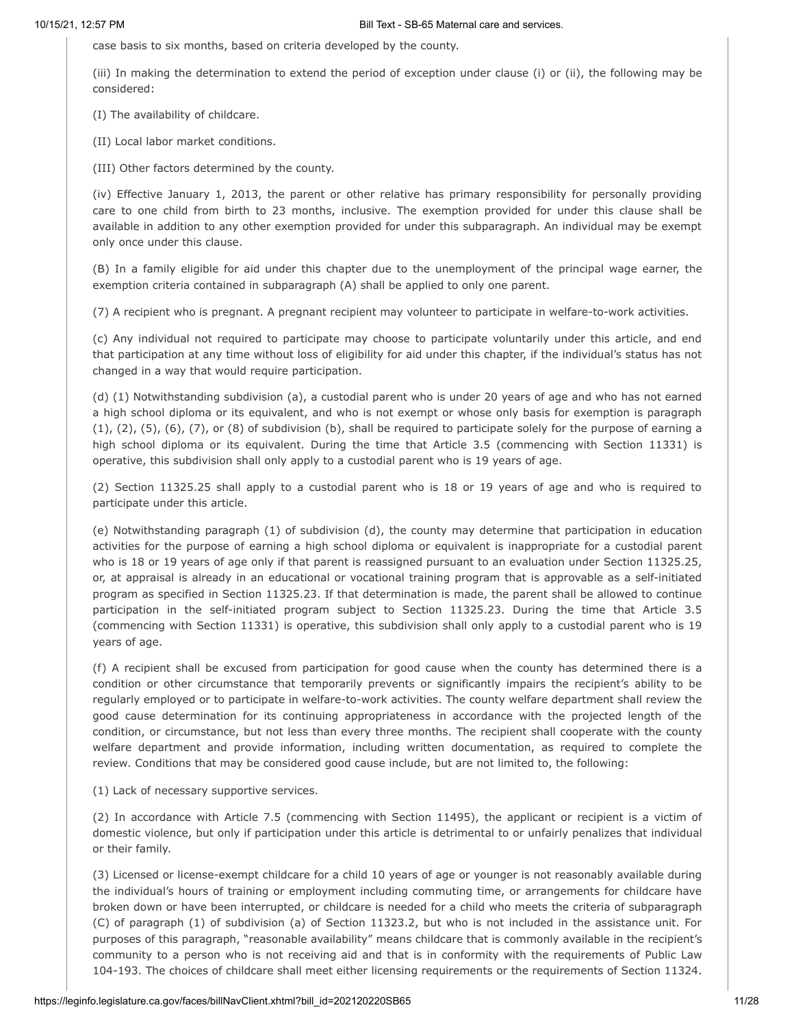case basis to six months, based on criteria developed by the county.

(iii) In making the determination to extend the period of exception under clause (i) or (ii), the following may be considered:

(I) The availability of childcare.

(II) Local labor market conditions.

(III) Other factors determined by the county.

(iv) Effective January 1, 2013, the parent or other relative has primary responsibility for personally providing care to one child from birth to 23 months, inclusive. The exemption provided for under this clause shall be available in addition to any other exemption provided for under this subparagraph. An individual may be exempt only once under this clause.

(B) In a family eligible for aid under this chapter due to the unemployment of the principal wage earner, the exemption criteria contained in subparagraph (A) shall be applied to only one parent.

(7) A recipient who is pregnant. A pregnant recipient may volunteer to participate in welfare-to-work activities.

(c) Any individual not required to participate may choose to participate voluntarily under this article, and end that participation at any time without loss of eligibility for aid under this chapter, if the individual's status has not changed in a way that would require participation.

(d) (1) Notwithstanding subdivision (a), a custodial parent who is under 20 years of age and who has not earned a high school diploma or its equivalent, and who is not exempt or whose only basis for exemption is paragraph  $(1)$ ,  $(2)$ ,  $(5)$ ,  $(6)$ ,  $(7)$ , or  $(8)$  of subdivision  $(b)$ , shall be required to participate solely for the purpose of earning a high school diploma or its equivalent. During the time that Article 3.5 (commencing with Section 11331) is operative, this subdivision shall only apply to a custodial parent who is 19 years of age.

(2) Section 11325.25 shall apply to a custodial parent who is 18 or 19 years of age and who is required to participate under this article.

(e) Notwithstanding paragraph (1) of subdivision (d), the county may determine that participation in education activities for the purpose of earning a high school diploma or equivalent is inappropriate for a custodial parent who is 18 or 19 years of age only if that parent is reassigned pursuant to an evaluation under Section 11325.25, or, at appraisal is already in an educational or vocational training program that is approvable as a self-initiated program as specified in Section 11325.23. If that determination is made, the parent shall be allowed to continue participation in the self-initiated program subject to Section 11325.23. During the time that Article 3.5 (commencing with Section 11331) is operative, this subdivision shall only apply to a custodial parent who is 19 years of age.

(f) A recipient shall be excused from participation for good cause when the county has determined there is a condition or other circumstance that temporarily prevents or significantly impairs the recipient's ability to be regularly employed or to participate in welfare-to-work activities. The county welfare department shall review the good cause determination for its continuing appropriateness in accordance with the projected length of the condition, or circumstance, but not less than every three months. The recipient shall cooperate with the county welfare department and provide information, including written documentation, as required to complete the review. Conditions that may be considered good cause include, but are not limited to, the following:

(1) Lack of necessary supportive services.

(2) In accordance with Article 7.5 (commencing with Section 11495), the applicant or recipient is a victim of domestic violence, but only if participation under this article is detrimental to or unfairly penalizes that individual or their family.

(3) Licensed or license-exempt childcare for a child 10 years of age or younger is not reasonably available during the individual's hours of training or employment including commuting time, or arrangements for childcare have broken down or have been interrupted, or childcare is needed for a child who meets the criteria of subparagraph (C) of paragraph (1) of subdivision (a) of Section 11323.2, but who is not included in the assistance unit. For purposes of this paragraph, "reasonable availability" means childcare that is commonly available in the recipient's community to a person who is not receiving aid and that is in conformity with the requirements of Public Law 104-193. The choices of childcare shall meet either licensing requirements or the requirements of Section 11324.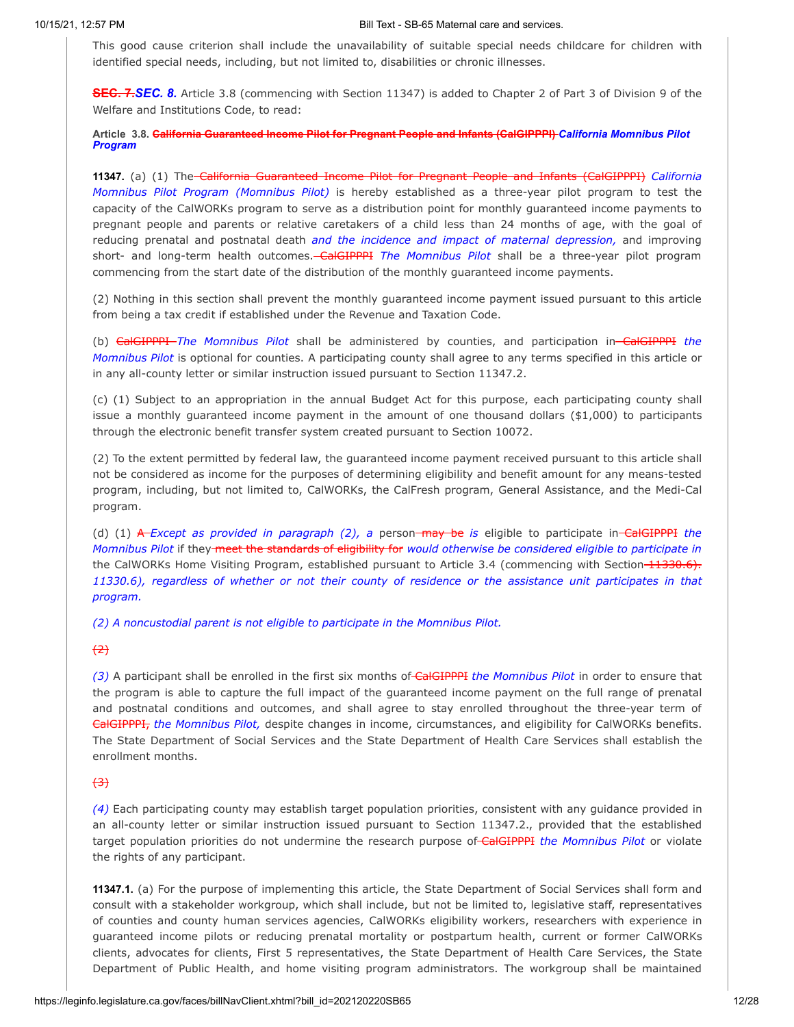This good cause criterion shall include the unavailability of suitable special needs childcare for children with identified special needs, including, but not limited to, disabilities or chronic illnesses.

**SEC. 7.***SEC. 8.* Article 3.8 (commencing with Section 11347) is added to Chapter 2 of Part 3 of Division 9 of the Welfare and Institutions Code, to read:

**Article 3.8. California Guaranteed Income Pilot for Pregnant People and Infants (CalGIPPPI)** *California Momnibus Pilot Program*

**11347.** (a) (1) The California Guaranteed Income Pilot for Pregnant People and Infants (CalGIPPPI) *California Momnibus Pilot Program (Momnibus Pilot)* is hereby established as a three-year pilot program to test the capacity of the CalWORKs program to serve as a distribution point for monthly guaranteed income payments to pregnant people and parents or relative caretakers of a child less than 24 months of age, with the goal of reducing prenatal and postnatal death *and the incidence and impact of maternal depression,* and improving short- and long-term health outcomes. CalGIPPPI *The Momnibus Pilot* shall be a three-year pilot program commencing from the start date of the distribution of the monthly guaranteed income payments.

(2) Nothing in this section shall prevent the monthly guaranteed income payment issued pursuant to this article from being a tax credit if established under the Revenue and Taxation Code.

(b) CalGIPPPI *The Momnibus Pilot* shall be administered by counties, and participation in CalGIPPPI *the Momnibus Pilot* is optional for counties. A participating county shall agree to any terms specified in this article or in any all-county letter or similar instruction issued pursuant to Section 11347.2.

(c) (1) Subject to an appropriation in the annual Budget Act for this purpose, each participating county shall issue a monthly guaranteed income payment in the amount of one thousand dollars (\$1,000) to participants through the electronic benefit transfer system created pursuant to Section 10072.

(2) To the extent permitted by federal law, the guaranteed income payment received pursuant to this article shall not be considered as income for the purposes of determining eligibility and benefit amount for any means-tested program, including, but not limited to, CalWORKs, the CalFresh program, General Assistance, and the Medi-Cal program.

(d) (1) A *Except as provided in paragraph (2), a* person may be *is* eligible to participate in CalGIPPPI *the Momnibus Pilot* if they meet the standards of eligibility for *would otherwise be considered eligible to participate in* the CalWORKs Home Visiting Program, established pursuant to Article 3.4 (commencing with Section 11330.6). 11330.6), regardless of whether or not their county of residence or the assistance unit participates in that *program.*

*(2) A noncustodial parent is not eligible to participate in the Momnibus Pilot.*

 $(2)$ 

*(3)* A participant shall be enrolled in the first six months of CalGIPPPI *the Momnibus Pilot* in order to ensure that the program is able to capture the full impact of the guaranteed income payment on the full range of prenatal and postnatal conditions and outcomes, and shall agree to stay enrolled throughout the three-year term of CalGIPPPI, *the Momnibus Pilot,* despite changes in income, circumstances, and eligibility for CalWORKs benefits. The State Department of Social Services and the State Department of Health Care Services shall establish the enrollment months.

## $\leftrightarrow$

*(4)* Each participating county may establish target population priorities, consistent with any guidance provided in an all-county letter or similar instruction issued pursuant to Section 11347.2., provided that the established target population priorities do not undermine the research purpose of CalGIPPPI *the Momnibus Pilot* or violate the rights of any participant.

**11347.1.** (a) For the purpose of implementing this article, the State Department of Social Services shall form and consult with a stakeholder workgroup, which shall include, but not be limited to, legislative staff, representatives of counties and county human services agencies, CalWORKs eligibility workers, researchers with experience in guaranteed income pilots or reducing prenatal mortality or postpartum health, current or former CalWORKs clients, advocates for clients, First 5 representatives, the State Department of Health Care Services, the State Department of Public Health, and home visiting program administrators. The workgroup shall be maintained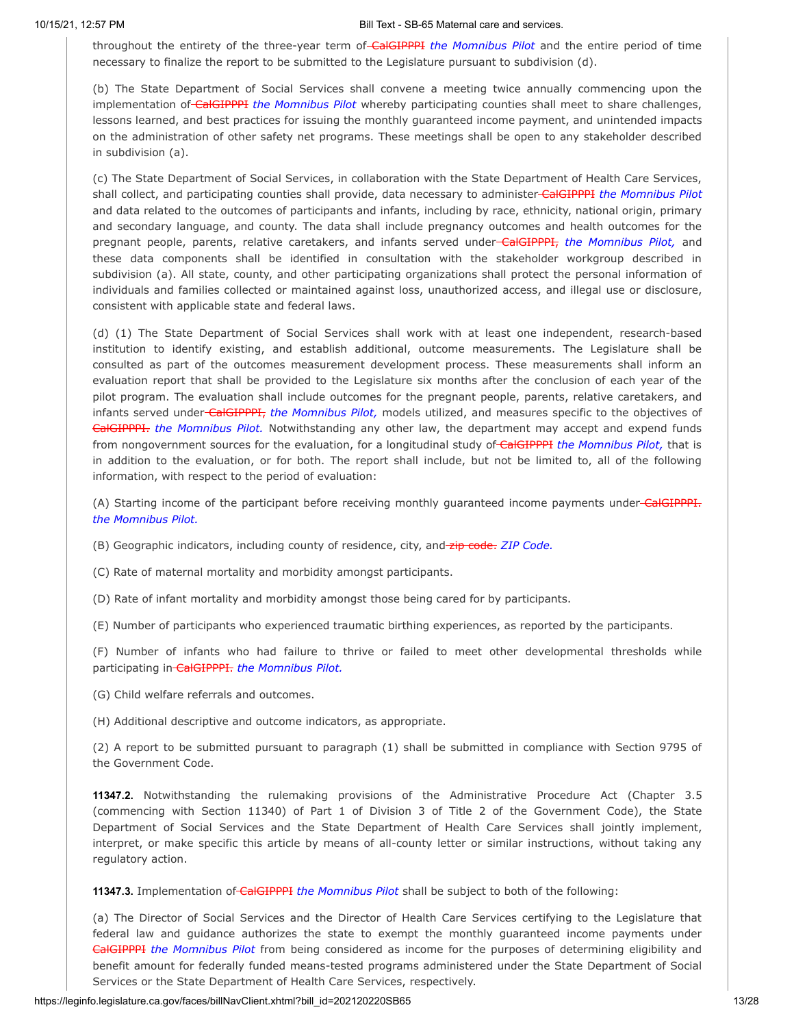throughout the entirety of the three-year term of CalGIPPPI *the Momnibus Pilot* and the entire period of time necessary to finalize the report to be submitted to the Legislature pursuant to subdivision (d).

(b) The State Department of Social Services shall convene a meeting twice annually commencing upon the implementation of CalGIPPPI *the Momnibus Pilot* whereby participating counties shall meet to share challenges, lessons learned, and best practices for issuing the monthly guaranteed income payment, and unintended impacts on the administration of other safety net programs. These meetings shall be open to any stakeholder described in subdivision (a).

(c) The State Department of Social Services, in collaboration with the State Department of Health Care Services, shall collect, and participating counties shall provide, data necessary to administer CalGIPPPI *the Momnibus Pilot* and data related to the outcomes of participants and infants, including by race, ethnicity, national origin, primary and secondary language, and county. The data shall include pregnancy outcomes and health outcomes for the pregnant people, parents, relative caretakers, and infants served under CalGIPPPI, *the Momnibus Pilot,* and these data components shall be identified in consultation with the stakeholder workgroup described in subdivision (a). All state, county, and other participating organizations shall protect the personal information of individuals and families collected or maintained against loss, unauthorized access, and illegal use or disclosure, consistent with applicable state and federal laws.

(d) (1) The State Department of Social Services shall work with at least one independent, research-based institution to identify existing, and establish additional, outcome measurements. The Legislature shall be consulted as part of the outcomes measurement development process. These measurements shall inform an evaluation report that shall be provided to the Legislature six months after the conclusion of each year of the pilot program. The evaluation shall include outcomes for the pregnant people, parents, relative caretakers, and infants served under CalGIPPPI, *the Momnibus Pilot,* models utilized, and measures specific to the objectives of CalGIPPPI. *the Momnibus Pilot.* Notwithstanding any other law, the department may accept and expend funds from nongovernment sources for the evaluation, for a longitudinal study of CalGIPPPI *the Momnibus Pilot,* that is in addition to the evaluation, or for both. The report shall include, but not be limited to, all of the following information, with respect to the period of evaluation:

(A) Starting income of the participant before receiving monthly guaranteed income payments under-CalGIPPPI. *the Momnibus Pilot.*

(B) Geographic indicators, including county of residence, city, and zip code. *ZIP Code.*

(C) Rate of maternal mortality and morbidity amongst participants.

(D) Rate of infant mortality and morbidity amongst those being cared for by participants.

(E) Number of participants who experienced traumatic birthing experiences, as reported by the participants.

(F) Number of infants who had failure to thrive or failed to meet other developmental thresholds while participating in CalGIPPPI. *the Momnibus Pilot.*

(G) Child welfare referrals and outcomes.

(H) Additional descriptive and outcome indicators, as appropriate.

(2) A report to be submitted pursuant to paragraph (1) shall be submitted in compliance with Section 9795 of the Government Code.

**11347.2.** Notwithstanding the rulemaking provisions of the Administrative Procedure Act (Chapter 3.5 (commencing with Section 11340) of Part 1 of Division 3 of Title 2 of the Government Code), the State Department of Social Services and the State Department of Health Care Services shall jointly implement, interpret, or make specific this article by means of all-county letter or similar instructions, without taking any regulatory action.

**11347.3.** Implementation of CalGIPPPI *the Momnibus Pilot* shall be subject to both of the following:

(a) The Director of Social Services and the Director of Health Care Services certifying to the Legislature that federal law and guidance authorizes the state to exempt the monthly guaranteed income payments under CalGIPPPI *the Momnibus Pilot* from being considered as income for the purposes of determining eligibility and benefit amount for federally funded means-tested programs administered under the State Department of Social Services or the State Department of Health Care Services, respectively.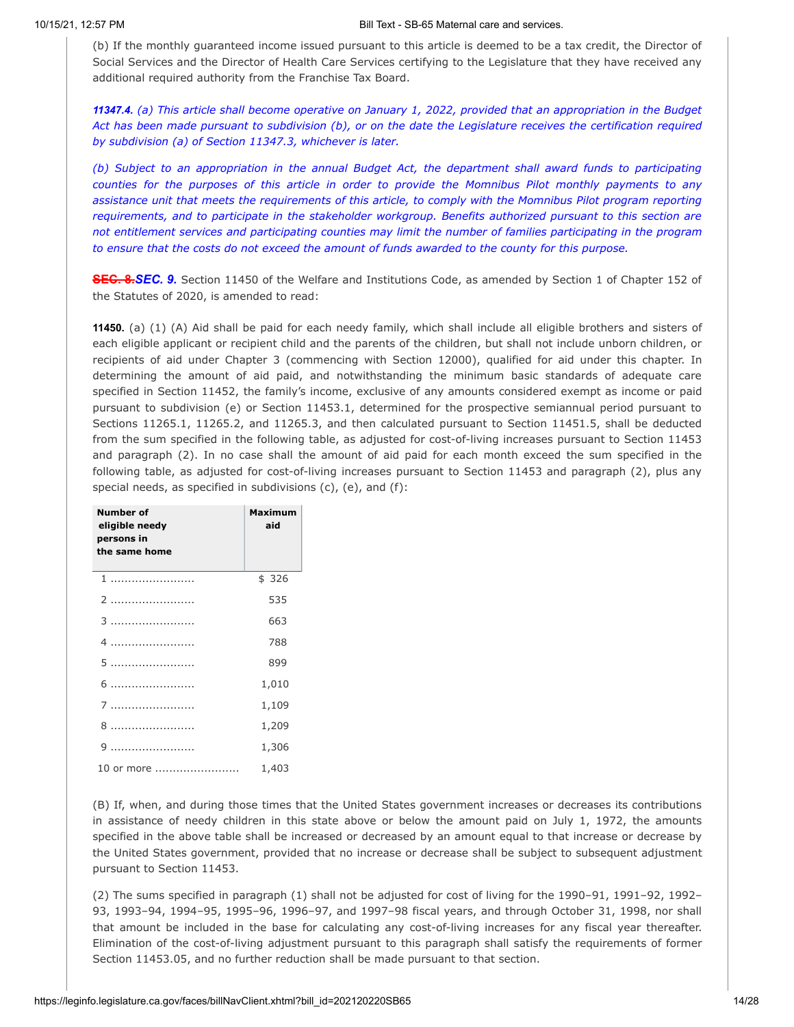(b) If the monthly guaranteed income issued pursuant to this article is deemed to be a tax credit, the Director of Social Services and the Director of Health Care Services certifying to the Legislature that they have received any additional required authority from the Franchise Tax Board.

11347.4. (a) This article shall become operative on January 1, 2022, provided that an appropriation in the Budget Act has been made pursuant to subdivision (b), or on the date the Legislature receives the certification required *by subdivision (a) of Section 11347.3, whichever is later.*

*(b) Subject to an appropriation in the annual Budget Act, the department shall award funds to participating* counties for the purposes of this article in order to provide the Momnibus Pilot monthly payments to any assistance unit that meets the requirements of this article, to comply with the Momnibus Pilot program reporting *requirements, and to participate in the stakeholder workgroup. Benefits authorized pursuant to this section are* not entitlement services and participating counties may limit the number of families participating in the program to ensure that the costs do not exceed the amount of funds awarded to the county for this purpose.

**SEC. 8.***SEC. 9.* Section 11450 of the Welfare and Institutions Code, as amended by Section 1 of Chapter 152 of the Statutes of 2020, is amended to read:

**11450.** (a) (1) (A) Aid shall be paid for each needy family, which shall include all eligible brothers and sisters of each eligible applicant or recipient child and the parents of the children, but shall not include unborn children, or recipients of aid under Chapter 3 (commencing with Section 12000), qualified for aid under this chapter. In determining the amount of aid paid, and notwithstanding the minimum basic standards of adequate care specified in Section 11452, the family's income, exclusive of any amounts considered exempt as income or paid pursuant to subdivision (e) or Section 11453.1, determined for the prospective semiannual period pursuant to Sections 11265.1, 11265.2, and 11265.3, and then calculated pursuant to Section 11451.5, shall be deducted from the sum specified in the following table, as adjusted for cost-of-living increases pursuant to Section 11453 and paragraph (2). In no case shall the amount of aid paid for each month exceed the sum specified in the following table, as adjusted for cost-of-living increases pursuant to Section 11453 and paragraph (2), plus any special needs, as specified in subdivisions (c), (e), and (f):

| <b>Number of</b><br>eligible needy<br>persons in<br>the same home | <b>Maximum</b><br>aid |
|-------------------------------------------------------------------|-----------------------|
|                                                                   | \$326                 |
|                                                                   | 535                   |
| 3                                                                 | 663                   |
|                                                                   | 788                   |
|                                                                   | 899                   |
| 6                                                                 | 1,010                 |
|                                                                   | 1,109                 |
| 8                                                                 | 1,209                 |
| 9                                                                 | 1,306                 |
| 10 or more                                                        | 1,403                 |

(B) If, when, and during those times that the United States government increases or decreases its contributions in assistance of needy children in this state above or below the amount paid on July 1, 1972, the amounts specified in the above table shall be increased or decreased by an amount equal to that increase or decrease by the United States government, provided that no increase or decrease shall be subject to subsequent adjustment pursuant to Section 11453.

(2) The sums specified in paragraph (1) shall not be adjusted for cost of living for the 1990–91, 1991–92, 1992– 93, 1993–94, 1994–95, 1995–96, 1996–97, and 1997–98 fiscal years, and through October 31, 1998, nor shall that amount be included in the base for calculating any cost-of-living increases for any fiscal year thereafter. Elimination of the cost-of-living adjustment pursuant to this paragraph shall satisfy the requirements of former Section 11453.05, and no further reduction shall be made pursuant to that section.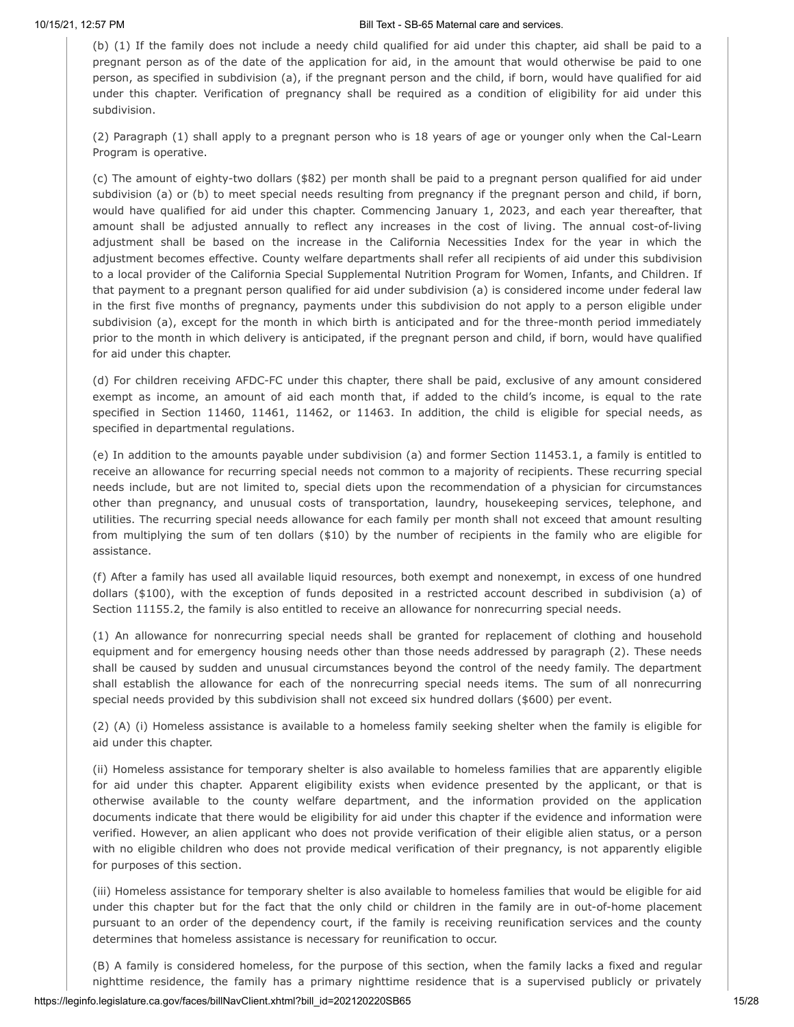(b) (1) If the family does not include a needy child qualified for aid under this chapter, aid shall be paid to a pregnant person as of the date of the application for aid, in the amount that would otherwise be paid to one person, as specified in subdivision (a), if the pregnant person and the child, if born, would have qualified for aid under this chapter. Verification of pregnancy shall be required as a condition of eligibility for aid under this subdivision.

(2) Paragraph (1) shall apply to a pregnant person who is 18 years of age or younger only when the Cal-Learn Program is operative.

(c) The amount of eighty-two dollars (\$82) per month shall be paid to a pregnant person qualified for aid under subdivision (a) or (b) to meet special needs resulting from pregnancy if the pregnant person and child, if born, would have qualified for aid under this chapter. Commencing January 1, 2023, and each year thereafter, that amount shall be adjusted annually to reflect any increases in the cost of living. The annual cost-of-living adjustment shall be based on the increase in the California Necessities Index for the year in which the adjustment becomes effective. County welfare departments shall refer all recipients of aid under this subdivision to a local provider of the California Special Supplemental Nutrition Program for Women, Infants, and Children. If that payment to a pregnant person qualified for aid under subdivision (a) is considered income under federal law in the first five months of pregnancy, payments under this subdivision do not apply to a person eligible under subdivision (a), except for the month in which birth is anticipated and for the three-month period immediately prior to the month in which delivery is anticipated, if the pregnant person and child, if born, would have qualified for aid under this chapter.

(d) For children receiving AFDC-FC under this chapter, there shall be paid, exclusive of any amount considered exempt as income, an amount of aid each month that, if added to the child's income, is equal to the rate specified in Section 11460, 11461, 11462, or 11463. In addition, the child is eligible for special needs, as specified in departmental regulations.

(e) In addition to the amounts payable under subdivision (a) and former Section 11453.1, a family is entitled to receive an allowance for recurring special needs not common to a majority of recipients. These recurring special needs include, but are not limited to, special diets upon the recommendation of a physician for circumstances other than pregnancy, and unusual costs of transportation, laundry, housekeeping services, telephone, and utilities. The recurring special needs allowance for each family per month shall not exceed that amount resulting from multiplying the sum of ten dollars (\$10) by the number of recipients in the family who are eligible for assistance.

(f) After a family has used all available liquid resources, both exempt and nonexempt, in excess of one hundred dollars (\$100), with the exception of funds deposited in a restricted account described in subdivision (a) of Section 11155.2, the family is also entitled to receive an allowance for nonrecurring special needs.

(1) An allowance for nonrecurring special needs shall be granted for replacement of clothing and household equipment and for emergency housing needs other than those needs addressed by paragraph (2). These needs shall be caused by sudden and unusual circumstances beyond the control of the needy family. The department shall establish the allowance for each of the nonrecurring special needs items. The sum of all nonrecurring special needs provided by this subdivision shall not exceed six hundred dollars (\$600) per event.

(2) (A) (i) Homeless assistance is available to a homeless family seeking shelter when the family is eligible for aid under this chapter.

(ii) Homeless assistance for temporary shelter is also available to homeless families that are apparently eligible for aid under this chapter. Apparent eligibility exists when evidence presented by the applicant, or that is otherwise available to the county welfare department, and the information provided on the application documents indicate that there would be eligibility for aid under this chapter if the evidence and information were verified. However, an alien applicant who does not provide verification of their eligible alien status, or a person with no eligible children who does not provide medical verification of their pregnancy, is not apparently eligible for purposes of this section.

(iii) Homeless assistance for temporary shelter is also available to homeless families that would be eligible for aid under this chapter but for the fact that the only child or children in the family are in out-of-home placement pursuant to an order of the dependency court, if the family is receiving reunification services and the county determines that homeless assistance is necessary for reunification to occur.

(B) A family is considered homeless, for the purpose of this section, when the family lacks a fixed and regular nighttime residence, the family has a primary nighttime residence that is a supervised publicly or privately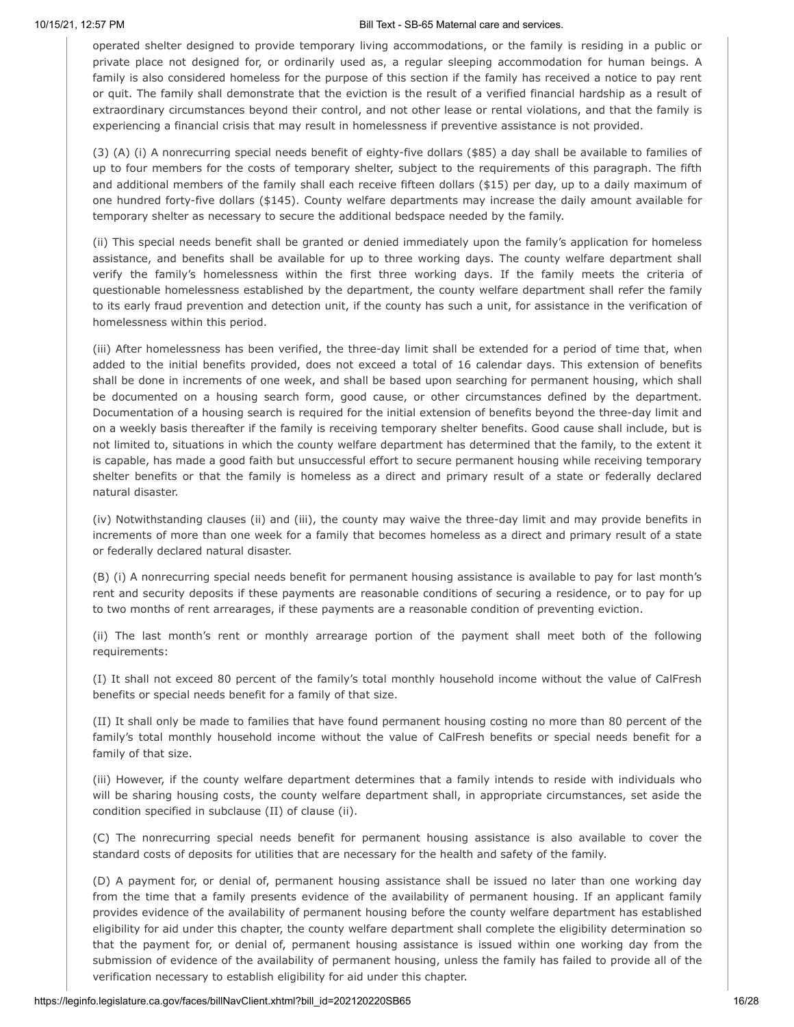operated shelter designed to provide temporary living accommodations, or the family is residing in a public or private place not designed for, or ordinarily used as, a regular sleeping accommodation for human beings. A family is also considered homeless for the purpose of this section if the family has received a notice to pay rent or quit. The family shall demonstrate that the eviction is the result of a verified financial hardship as a result of extraordinary circumstances beyond their control, and not other lease or rental violations, and that the family is experiencing a financial crisis that may result in homelessness if preventive assistance is not provided.

(3) (A) (i) A nonrecurring special needs benefit of eighty-five dollars (\$85) a day shall be available to families of up to four members for the costs of temporary shelter, subject to the requirements of this paragraph. The fifth and additional members of the family shall each receive fifteen dollars (\$15) per day, up to a daily maximum of one hundred forty-five dollars (\$145). County welfare departments may increase the daily amount available for temporary shelter as necessary to secure the additional bedspace needed by the family.

(ii) This special needs benefit shall be granted or denied immediately upon the family's application for homeless assistance, and benefits shall be available for up to three working days. The county welfare department shall verify the family's homelessness within the first three working days. If the family meets the criteria of questionable homelessness established by the department, the county welfare department shall refer the family to its early fraud prevention and detection unit, if the county has such a unit, for assistance in the verification of homelessness within this period.

(iii) After homelessness has been verified, the three-day limit shall be extended for a period of time that, when added to the initial benefits provided, does not exceed a total of 16 calendar days. This extension of benefits shall be done in increments of one week, and shall be based upon searching for permanent housing, which shall be documented on a housing search form, good cause, or other circumstances defined by the department. Documentation of a housing search is required for the initial extension of benefits beyond the three-day limit and on a weekly basis thereafter if the family is receiving temporary shelter benefits. Good cause shall include, but is not limited to, situations in which the county welfare department has determined that the family, to the extent it is capable, has made a good faith but unsuccessful effort to secure permanent housing while receiving temporary shelter benefits or that the family is homeless as a direct and primary result of a state or federally declared natural disaster.

(iv) Notwithstanding clauses (ii) and (iii), the county may waive the three-day limit and may provide benefits in increments of more than one week for a family that becomes homeless as a direct and primary result of a state or federally declared natural disaster.

(B) (i) A nonrecurring special needs benefit for permanent housing assistance is available to pay for last month's rent and security deposits if these payments are reasonable conditions of securing a residence, or to pay for up to two months of rent arrearages, if these payments are a reasonable condition of preventing eviction.

(ii) The last month's rent or monthly arrearage portion of the payment shall meet both of the following requirements:

(I) It shall not exceed 80 percent of the family's total monthly household income without the value of CalFresh benefits or special needs benefit for a family of that size.

(II) It shall only be made to families that have found permanent housing costing no more than 80 percent of the family's total monthly household income without the value of CalFresh benefits or special needs benefit for a family of that size.

(iii) However, if the county welfare department determines that a family intends to reside with individuals who will be sharing housing costs, the county welfare department shall, in appropriate circumstances, set aside the condition specified in subclause (II) of clause (ii).

(C) The nonrecurring special needs benefit for permanent housing assistance is also available to cover the standard costs of deposits for utilities that are necessary for the health and safety of the family.

(D) A payment for, or denial of, permanent housing assistance shall be issued no later than one working day from the time that a family presents evidence of the availability of permanent housing. If an applicant family provides evidence of the availability of permanent housing before the county welfare department has established eligibility for aid under this chapter, the county welfare department shall complete the eligibility determination so that the payment for, or denial of, permanent housing assistance is issued within one working day from the submission of evidence of the availability of permanent housing, unless the family has failed to provide all of the verification necessary to establish eligibility for aid under this chapter.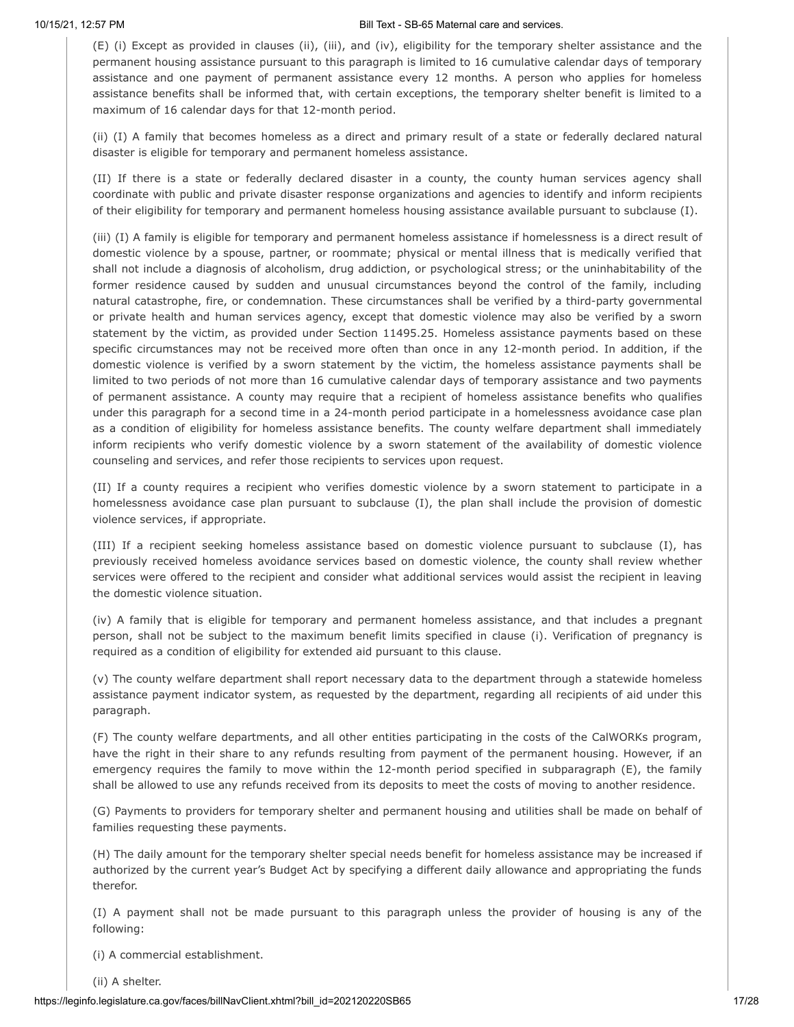(E) (i) Except as provided in clauses (ii), (iii), and (iv), eligibility for the temporary shelter assistance and the permanent housing assistance pursuant to this paragraph is limited to 16 cumulative calendar days of temporary assistance and one payment of permanent assistance every 12 months. A person who applies for homeless assistance benefits shall be informed that, with certain exceptions, the temporary shelter benefit is limited to a maximum of 16 calendar days for that 12-month period.

(ii) (I) A family that becomes homeless as a direct and primary result of a state or federally declared natural disaster is eligible for temporary and permanent homeless assistance.

(II) If there is a state or federally declared disaster in a county, the county human services agency shall coordinate with public and private disaster response organizations and agencies to identify and inform recipients of their eligibility for temporary and permanent homeless housing assistance available pursuant to subclause (I).

(iii) (I) A family is eligible for temporary and permanent homeless assistance if homelessness is a direct result of domestic violence by a spouse, partner, or roommate; physical or mental illness that is medically verified that shall not include a diagnosis of alcoholism, drug addiction, or psychological stress; or the uninhabitability of the former residence caused by sudden and unusual circumstances beyond the control of the family, including natural catastrophe, fire, or condemnation. These circumstances shall be verified by a third-party governmental or private health and human services agency, except that domestic violence may also be verified by a sworn statement by the victim, as provided under Section 11495.25. Homeless assistance payments based on these specific circumstances may not be received more often than once in any 12-month period. In addition, if the domestic violence is verified by a sworn statement by the victim, the homeless assistance payments shall be limited to two periods of not more than 16 cumulative calendar days of temporary assistance and two payments of permanent assistance. A county may require that a recipient of homeless assistance benefits who qualifies under this paragraph for a second time in a 24-month period participate in a homelessness avoidance case plan as a condition of eligibility for homeless assistance benefits. The county welfare department shall immediately inform recipients who verify domestic violence by a sworn statement of the availability of domestic violence counseling and services, and refer those recipients to services upon request.

(II) If a county requires a recipient who verifies domestic violence by a sworn statement to participate in a homelessness avoidance case plan pursuant to subclause (I), the plan shall include the provision of domestic violence services, if appropriate.

(III) If a recipient seeking homeless assistance based on domestic violence pursuant to subclause (I), has previously received homeless avoidance services based on domestic violence, the county shall review whether services were offered to the recipient and consider what additional services would assist the recipient in leaving the domestic violence situation.

(iv) A family that is eligible for temporary and permanent homeless assistance, and that includes a pregnant person, shall not be subject to the maximum benefit limits specified in clause (i). Verification of pregnancy is required as a condition of eligibility for extended aid pursuant to this clause.

(v) The county welfare department shall report necessary data to the department through a statewide homeless assistance payment indicator system, as requested by the department, regarding all recipients of aid under this paragraph.

(F) The county welfare departments, and all other entities participating in the costs of the CalWORKs program, have the right in their share to any refunds resulting from payment of the permanent housing. However, if an emergency requires the family to move within the 12-month period specified in subparagraph (E), the family shall be allowed to use any refunds received from its deposits to meet the costs of moving to another residence.

(G) Payments to providers for temporary shelter and permanent housing and utilities shall be made on behalf of families requesting these payments.

(H) The daily amount for the temporary shelter special needs benefit for homeless assistance may be increased if authorized by the current year's Budget Act by specifying a different daily allowance and appropriating the funds therefor.

(I) A payment shall not be made pursuant to this paragraph unless the provider of housing is any of the following:

(i) A commercial establishment.

(ii) A shelter.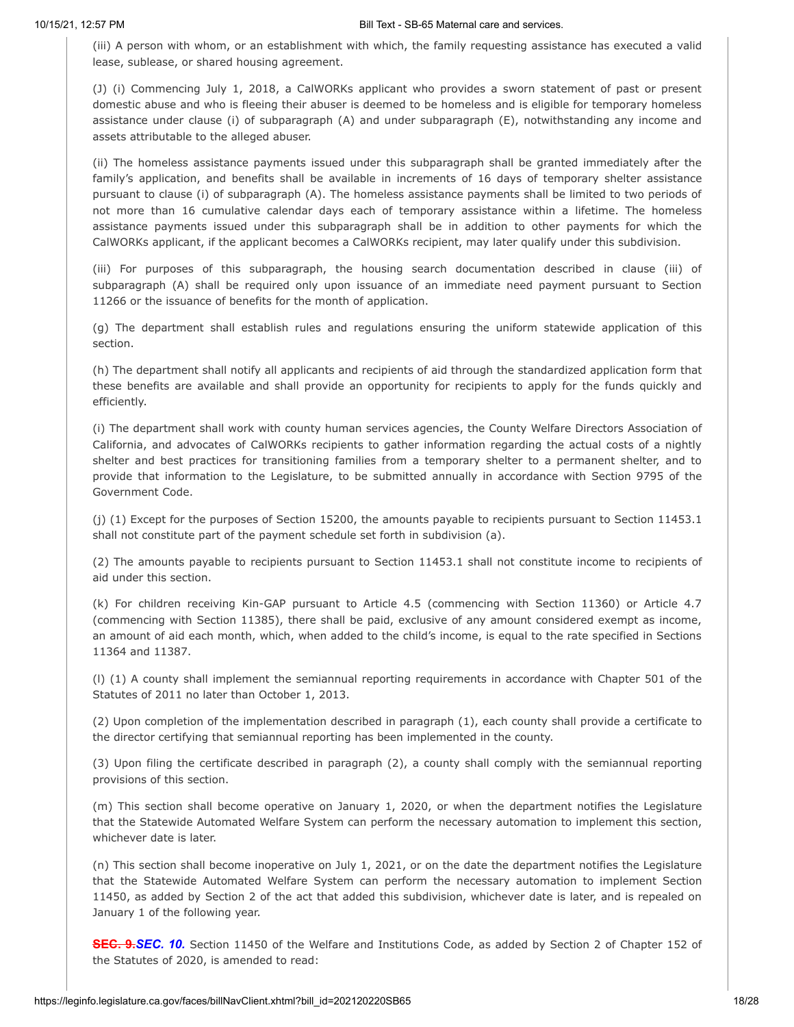(iii) A person with whom, or an establishment with which, the family requesting assistance has executed a valid lease, sublease, or shared housing agreement.

(J) (i) Commencing July 1, 2018, a CalWORKs applicant who provides a sworn statement of past or present domestic abuse and who is fleeing their abuser is deemed to be homeless and is eligible for temporary homeless assistance under clause (i) of subparagraph (A) and under subparagraph (E), notwithstanding any income and assets attributable to the alleged abuser.

(ii) The homeless assistance payments issued under this subparagraph shall be granted immediately after the family's application, and benefits shall be available in increments of 16 days of temporary shelter assistance pursuant to clause (i) of subparagraph (A). The homeless assistance payments shall be limited to two periods of not more than 16 cumulative calendar days each of temporary assistance within a lifetime. The homeless assistance payments issued under this subparagraph shall be in addition to other payments for which the CalWORKs applicant, if the applicant becomes a CalWORKs recipient, may later qualify under this subdivision.

(iii) For purposes of this subparagraph, the housing search documentation described in clause (iii) of subparagraph (A) shall be required only upon issuance of an immediate need payment pursuant to Section 11266 or the issuance of benefits for the month of application.

(g) The department shall establish rules and regulations ensuring the uniform statewide application of this section.

(h) The department shall notify all applicants and recipients of aid through the standardized application form that these benefits are available and shall provide an opportunity for recipients to apply for the funds quickly and efficiently.

(i) The department shall work with county human services agencies, the County Welfare Directors Association of California, and advocates of CalWORKs recipients to gather information regarding the actual costs of a nightly shelter and best practices for transitioning families from a temporary shelter to a permanent shelter, and to provide that information to the Legislature, to be submitted annually in accordance with Section 9795 of the Government Code.

(j) (1) Except for the purposes of Section 15200, the amounts payable to recipients pursuant to Section 11453.1 shall not constitute part of the payment schedule set forth in subdivision (a).

(2) The amounts payable to recipients pursuant to Section 11453.1 shall not constitute income to recipients of aid under this section.

(k) For children receiving Kin-GAP pursuant to Article 4.5 (commencing with Section 11360) or Article 4.7 (commencing with Section 11385), there shall be paid, exclusive of any amount considered exempt as income, an amount of aid each month, which, when added to the child's income, is equal to the rate specified in Sections 11364 and 11387.

(l) (1) A county shall implement the semiannual reporting requirements in accordance with Chapter 501 of the Statutes of 2011 no later than October 1, 2013.

(2) Upon completion of the implementation described in paragraph (1), each county shall provide a certificate to the director certifying that semiannual reporting has been implemented in the county.

(3) Upon filing the certificate described in paragraph (2), a county shall comply with the semiannual reporting provisions of this section.

(m) This section shall become operative on January 1, 2020, or when the department notifies the Legislature that the Statewide Automated Welfare System can perform the necessary automation to implement this section, whichever date is later.

(n) This section shall become inoperative on July 1, 2021, or on the date the department notifies the Legislature that the Statewide Automated Welfare System can perform the necessary automation to implement Section 11450, as added by Section 2 of the act that added this subdivision, whichever date is later, and is repealed on January 1 of the following year.

**SEC. 9.***SEC. 10.* Section 11450 of the Welfare and Institutions Code, as added by Section 2 of Chapter 152 of the Statutes of 2020, is amended to read: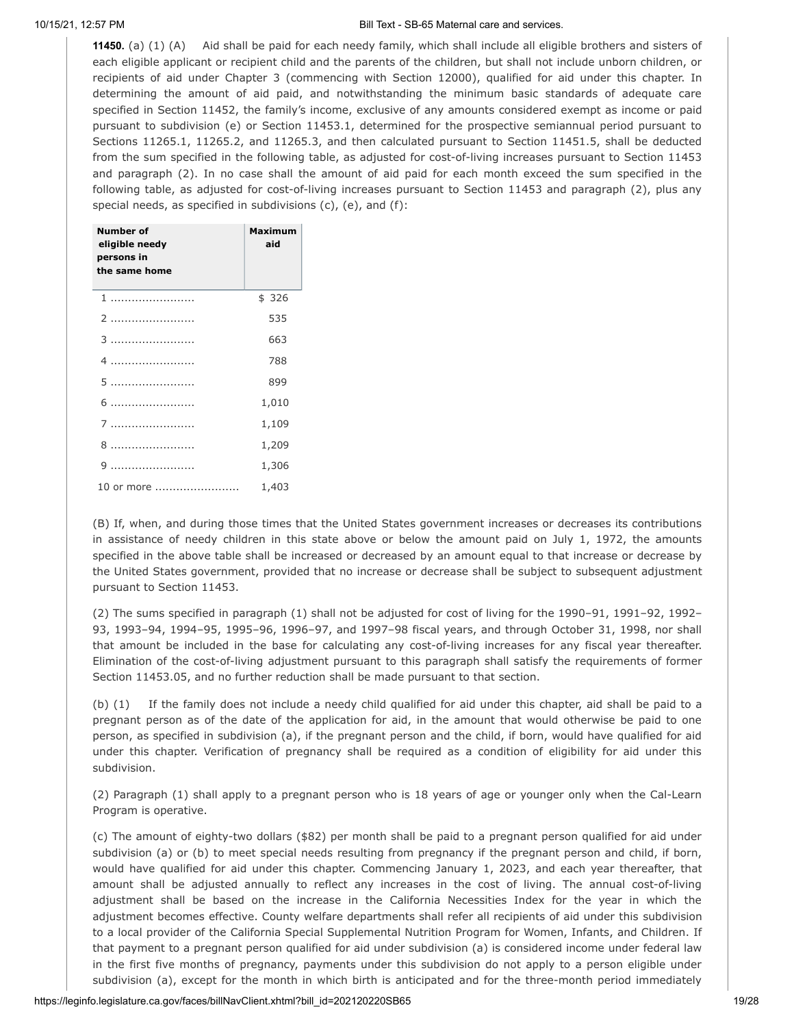**11450.** (a) (1) (A) Aid shall be paid for each needy family, which shall include all eligible brothers and sisters of each eligible applicant or recipient child and the parents of the children, but shall not include unborn children, or recipients of aid under Chapter 3 (commencing with Section 12000), qualified for aid under this chapter. In determining the amount of aid paid, and notwithstanding the minimum basic standards of adequate care specified in Section 11452, the family's income, exclusive of any amounts considered exempt as income or paid pursuant to subdivision (e) or Section 11453.1, determined for the prospective semiannual period pursuant to Sections 11265.1, 11265.2, and 11265.3, and then calculated pursuant to Section 11451.5, shall be deducted from the sum specified in the following table, as adjusted for cost-of-living increases pursuant to Section 11453 and paragraph (2). In no case shall the amount of aid paid for each month exceed the sum specified in the following table, as adjusted for cost-of-living increases pursuant to Section 11453 and paragraph (2), plus any special needs, as specified in subdivisions (c), (e), and (f):

| Number of<br>eligible needy<br>persons in<br>the same home | Maximum<br>aid |
|------------------------------------------------------------|----------------|
|                                                            | \$326          |
| 2                                                          | 535            |
| 3                                                          | 663            |
|                                                            | 788            |
| 5                                                          | 899            |
| 6                                                          | 1,010          |
| 7                                                          | 1,109          |
| 8                                                          | 1,209          |
| q                                                          | 1,306          |
| 10 or more                                                 | 1,403          |

(B) If, when, and during those times that the United States government increases or decreases its contributions in assistance of needy children in this state above or below the amount paid on July 1, 1972, the amounts specified in the above table shall be increased or decreased by an amount equal to that increase or decrease by the United States government, provided that no increase or decrease shall be subject to subsequent adjustment pursuant to Section 11453.

(2) The sums specified in paragraph (1) shall not be adjusted for cost of living for the 1990–91, 1991–92, 1992– 93, 1993–94, 1994–95, 1995–96, 1996–97, and 1997–98 fiscal years, and through October 31, 1998, nor shall that amount be included in the base for calculating any cost-of-living increases for any fiscal year thereafter. Elimination of the cost-of-living adjustment pursuant to this paragraph shall satisfy the requirements of former Section 11453.05, and no further reduction shall be made pursuant to that section.

(b) (1) If the family does not include a needy child qualified for aid under this chapter, aid shall be paid to a pregnant person as of the date of the application for aid, in the amount that would otherwise be paid to one person, as specified in subdivision (a), if the pregnant person and the child, if born, would have qualified for aid under this chapter. Verification of pregnancy shall be required as a condition of eligibility for aid under this subdivision.

(2) Paragraph (1) shall apply to a pregnant person who is 18 years of age or younger only when the Cal-Learn Program is operative.

(c) The amount of eighty-two dollars (\$82) per month shall be paid to a pregnant person qualified for aid under subdivision (a) or (b) to meet special needs resulting from pregnancy if the pregnant person and child, if born, would have qualified for aid under this chapter. Commencing January 1, 2023, and each year thereafter, that amount shall be adjusted annually to reflect any increases in the cost of living. The annual cost-of-living adjustment shall be based on the increase in the California Necessities Index for the year in which the adjustment becomes effective. County welfare departments shall refer all recipients of aid under this subdivision to a local provider of the California Special Supplemental Nutrition Program for Women, Infants, and Children. If that payment to a pregnant person qualified for aid under subdivision (a) is considered income under federal law in the first five months of pregnancy, payments under this subdivision do not apply to a person eligible under subdivision (a), except for the month in which birth is anticipated and for the three-month period immediately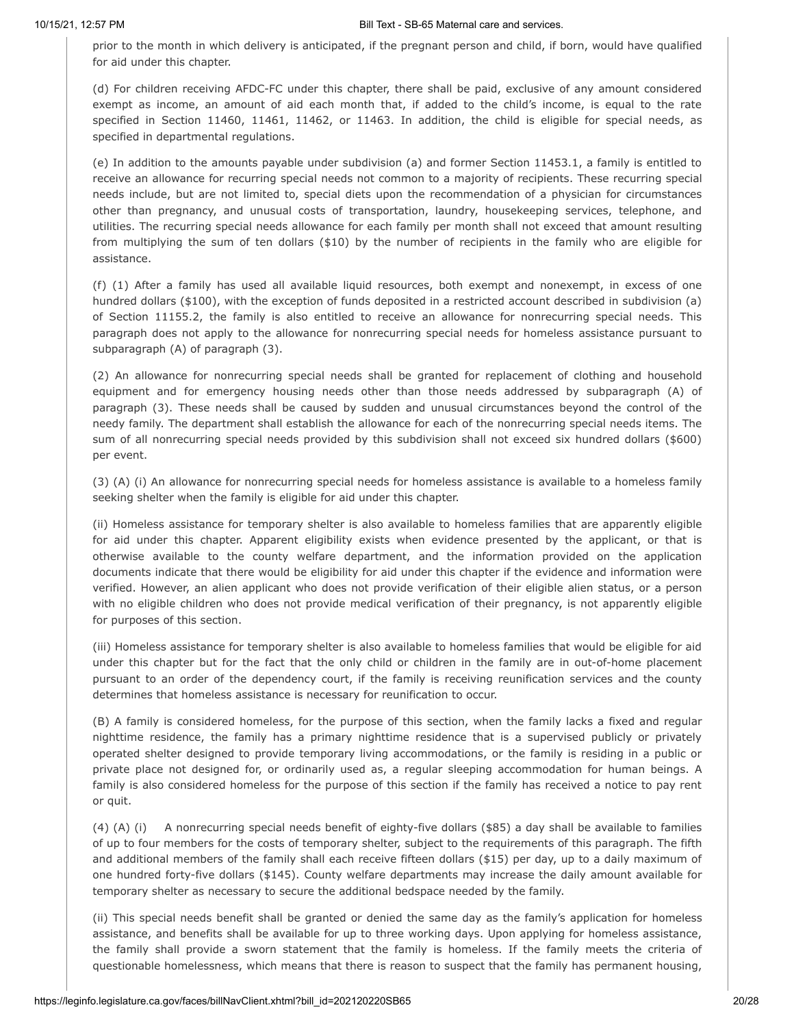prior to the month in which delivery is anticipated, if the pregnant person and child, if born, would have qualified for aid under this chapter.

(d) For children receiving AFDC-FC under this chapter, there shall be paid, exclusive of any amount considered exempt as income, an amount of aid each month that, if added to the child's income, is equal to the rate specified in Section 11460, 11461, 11462, or 11463. In addition, the child is eligible for special needs, as specified in departmental regulations.

(e) In addition to the amounts payable under subdivision (a) and former Section 11453.1, a family is entitled to receive an allowance for recurring special needs not common to a majority of recipients. These recurring special needs include, but are not limited to, special diets upon the recommendation of a physician for circumstances other than pregnancy, and unusual costs of transportation, laundry, housekeeping services, telephone, and utilities. The recurring special needs allowance for each family per month shall not exceed that amount resulting from multiplying the sum of ten dollars (\$10) by the number of recipients in the family who are eligible for assistance.

(f) (1) After a family has used all available liquid resources, both exempt and nonexempt, in excess of one hundred dollars (\$100), with the exception of funds deposited in a restricted account described in subdivision (a) of Section 11155.2, the family is also entitled to receive an allowance for nonrecurring special needs. This paragraph does not apply to the allowance for nonrecurring special needs for homeless assistance pursuant to subparagraph (A) of paragraph (3).

(2) An allowance for nonrecurring special needs shall be granted for replacement of clothing and household equipment and for emergency housing needs other than those needs addressed by subparagraph (A) of paragraph (3). These needs shall be caused by sudden and unusual circumstances beyond the control of the needy family. The department shall establish the allowance for each of the nonrecurring special needs items. The sum of all nonrecurring special needs provided by this subdivision shall not exceed six hundred dollars (\$600) per event.

(3) (A) (i) An allowance for nonrecurring special needs for homeless assistance is available to a homeless family seeking shelter when the family is eligible for aid under this chapter.

(ii) Homeless assistance for temporary shelter is also available to homeless families that are apparently eligible for aid under this chapter. Apparent eligibility exists when evidence presented by the applicant, or that is otherwise available to the county welfare department, and the information provided on the application documents indicate that there would be eligibility for aid under this chapter if the evidence and information were verified. However, an alien applicant who does not provide verification of their eligible alien status, or a person with no eligible children who does not provide medical verification of their pregnancy, is not apparently eligible for purposes of this section.

(iii) Homeless assistance for temporary shelter is also available to homeless families that would be eligible for aid under this chapter but for the fact that the only child or children in the family are in out-of-home placement pursuant to an order of the dependency court, if the family is receiving reunification services and the county determines that homeless assistance is necessary for reunification to occur.

(B) A family is considered homeless, for the purpose of this section, when the family lacks a fixed and regular nighttime residence, the family has a primary nighttime residence that is a supervised publicly or privately operated shelter designed to provide temporary living accommodations, or the family is residing in a public or private place not designed for, or ordinarily used as, a regular sleeping accommodation for human beings. A family is also considered homeless for the purpose of this section if the family has received a notice to pay rent or quit.

(4) (A) (i) A nonrecurring special needs benefit of eighty-five dollars (\$85) a day shall be available to families of up to four members for the costs of temporary shelter, subject to the requirements of this paragraph. The fifth and additional members of the family shall each receive fifteen dollars (\$15) per day, up to a daily maximum of one hundred forty-five dollars (\$145). County welfare departments may increase the daily amount available for temporary shelter as necessary to secure the additional bedspace needed by the family.

(ii) This special needs benefit shall be granted or denied the same day as the family's application for homeless assistance, and benefits shall be available for up to three working days. Upon applying for homeless assistance, the family shall provide a sworn statement that the family is homeless. If the family meets the criteria of questionable homelessness, which means that there is reason to suspect that the family has permanent housing,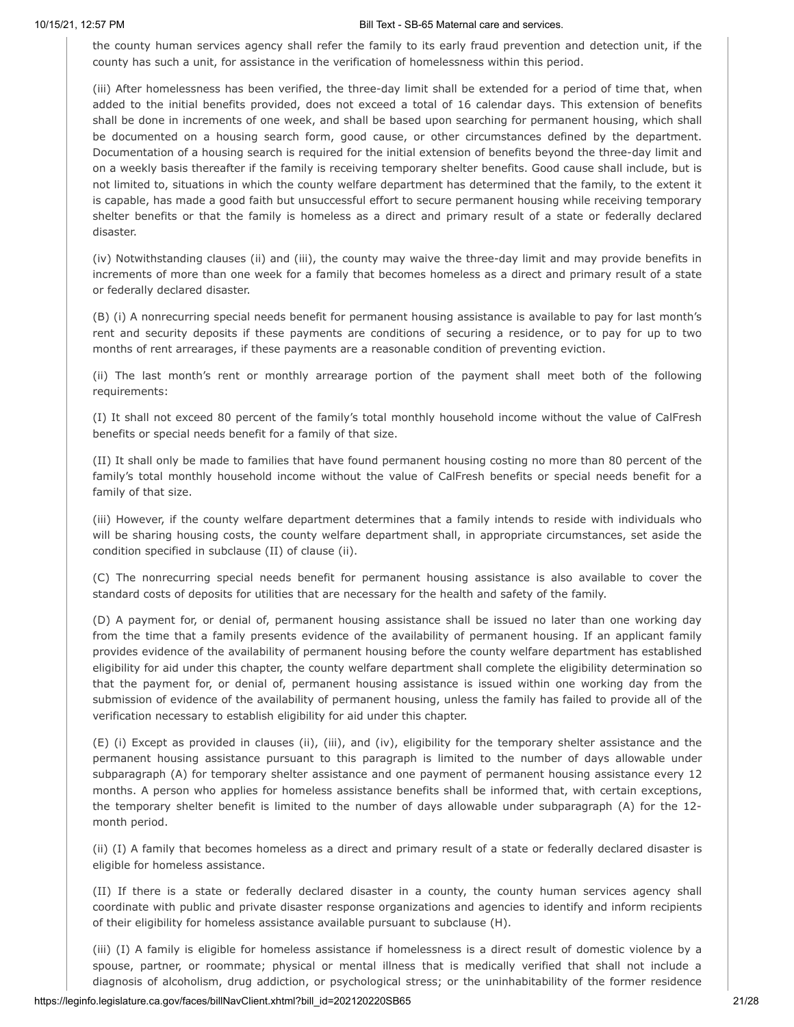the county human services agency shall refer the family to its early fraud prevention and detection unit, if the county has such a unit, for assistance in the verification of homelessness within this period.

(iii) After homelessness has been verified, the three-day limit shall be extended for a period of time that, when added to the initial benefits provided, does not exceed a total of 16 calendar days. This extension of benefits shall be done in increments of one week, and shall be based upon searching for permanent housing, which shall be documented on a housing search form, good cause, or other circumstances defined by the department. Documentation of a housing search is required for the initial extension of benefits beyond the three-day limit and on a weekly basis thereafter if the family is receiving temporary shelter benefits. Good cause shall include, but is not limited to, situations in which the county welfare department has determined that the family, to the extent it is capable, has made a good faith but unsuccessful effort to secure permanent housing while receiving temporary shelter benefits or that the family is homeless as a direct and primary result of a state or federally declared disaster.

(iv) Notwithstanding clauses (ii) and (iii), the county may waive the three-day limit and may provide benefits in increments of more than one week for a family that becomes homeless as a direct and primary result of a state or federally declared disaster.

(B) (i) A nonrecurring special needs benefit for permanent housing assistance is available to pay for last month's rent and security deposits if these payments are conditions of securing a residence, or to pay for up to two months of rent arrearages, if these payments are a reasonable condition of preventing eviction.

(ii) The last month's rent or monthly arrearage portion of the payment shall meet both of the following requirements:

(I) It shall not exceed 80 percent of the family's total monthly household income without the value of CalFresh benefits or special needs benefit for a family of that size.

(II) It shall only be made to families that have found permanent housing costing no more than 80 percent of the family's total monthly household income without the value of CalFresh benefits or special needs benefit for a family of that size.

(iii) However, if the county welfare department determines that a family intends to reside with individuals who will be sharing housing costs, the county welfare department shall, in appropriate circumstances, set aside the condition specified in subclause (II) of clause (ii).

(C) The nonrecurring special needs benefit for permanent housing assistance is also available to cover the standard costs of deposits for utilities that are necessary for the health and safety of the family.

(D) A payment for, or denial of, permanent housing assistance shall be issued no later than one working day from the time that a family presents evidence of the availability of permanent housing. If an applicant family provides evidence of the availability of permanent housing before the county welfare department has established eligibility for aid under this chapter, the county welfare department shall complete the eligibility determination so that the payment for, or denial of, permanent housing assistance is issued within one working day from the submission of evidence of the availability of permanent housing, unless the family has failed to provide all of the verification necessary to establish eligibility for aid under this chapter.

(E) (i) Except as provided in clauses (ii), (iii), and (iv), eligibility for the temporary shelter assistance and the permanent housing assistance pursuant to this paragraph is limited to the number of days allowable under subparagraph (A) for temporary shelter assistance and one payment of permanent housing assistance every 12 months. A person who applies for homeless assistance benefits shall be informed that, with certain exceptions, the temporary shelter benefit is limited to the number of days allowable under subparagraph (A) for the 12 month period.

(ii) (I) A family that becomes homeless as a direct and primary result of a state or federally declared disaster is eligible for homeless assistance.

(II) If there is a state or federally declared disaster in a county, the county human services agency shall coordinate with public and private disaster response organizations and agencies to identify and inform recipients of their eligibility for homeless assistance available pursuant to subclause (H).

(iii) (I) A family is eligible for homeless assistance if homelessness is a direct result of domestic violence by a spouse, partner, or roommate; physical or mental illness that is medically verified that shall not include a diagnosis of alcoholism, drug addiction, or psychological stress; or the uninhabitability of the former residence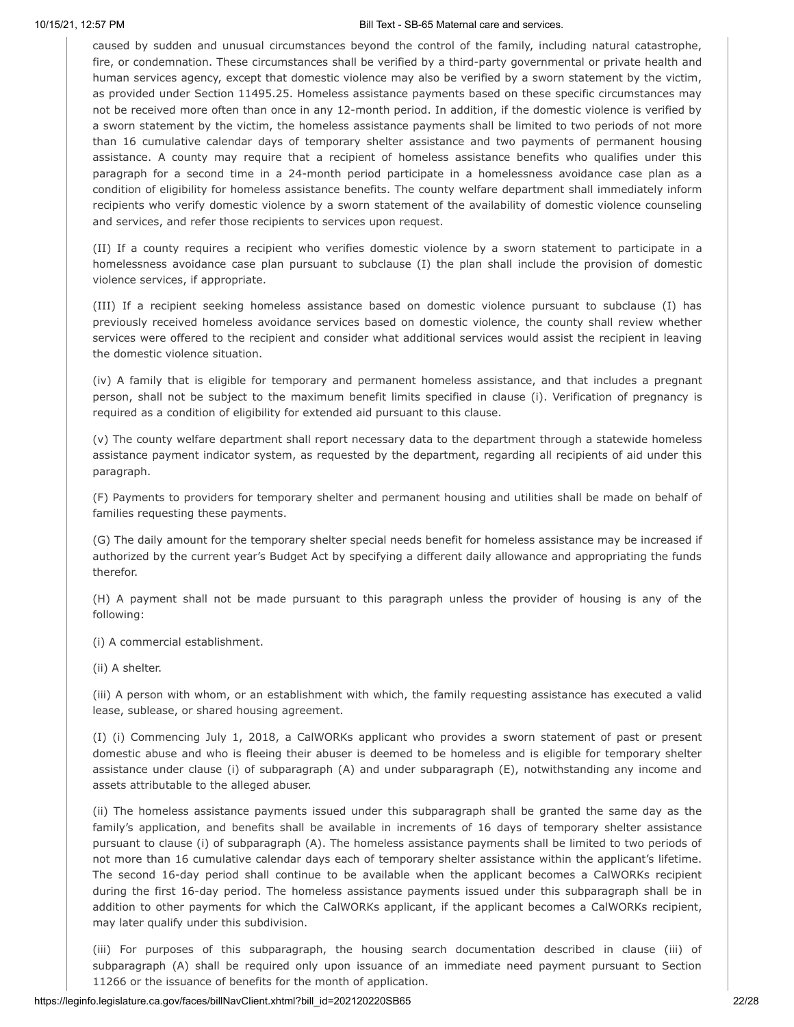caused by sudden and unusual circumstances beyond the control of the family, including natural catastrophe, fire, or condemnation. These circumstances shall be verified by a third-party governmental or private health and human services agency, except that domestic violence may also be verified by a sworn statement by the victim, as provided under Section 11495.25. Homeless assistance payments based on these specific circumstances may not be received more often than once in any 12-month period. In addition, if the domestic violence is verified by a sworn statement by the victim, the homeless assistance payments shall be limited to two periods of not more than 16 cumulative calendar days of temporary shelter assistance and two payments of permanent housing assistance. A county may require that a recipient of homeless assistance benefits who qualifies under this paragraph for a second time in a 24-month period participate in a homelessness avoidance case plan as a condition of eligibility for homeless assistance benefits. The county welfare department shall immediately inform recipients who verify domestic violence by a sworn statement of the availability of domestic violence counseling and services, and refer those recipients to services upon request.

(II) If a county requires a recipient who verifies domestic violence by a sworn statement to participate in a homelessness avoidance case plan pursuant to subclause (I) the plan shall include the provision of domestic violence services, if appropriate.

(III) If a recipient seeking homeless assistance based on domestic violence pursuant to subclause (I) has previously received homeless avoidance services based on domestic violence, the county shall review whether services were offered to the recipient and consider what additional services would assist the recipient in leaving the domestic violence situation.

(iv) A family that is eligible for temporary and permanent homeless assistance, and that includes a pregnant person, shall not be subject to the maximum benefit limits specified in clause (i). Verification of pregnancy is required as a condition of eligibility for extended aid pursuant to this clause.

(v) The county welfare department shall report necessary data to the department through a statewide homeless assistance payment indicator system, as requested by the department, regarding all recipients of aid under this paragraph.

(F) Payments to providers for temporary shelter and permanent housing and utilities shall be made on behalf of families requesting these payments.

(G) The daily amount for the temporary shelter special needs benefit for homeless assistance may be increased if authorized by the current year's Budget Act by specifying a different daily allowance and appropriating the funds therefor.

(H) A payment shall not be made pursuant to this paragraph unless the provider of housing is any of the following:

(i) A commercial establishment.

(ii) A shelter.

(iii) A person with whom, or an establishment with which, the family requesting assistance has executed a valid lease, sublease, or shared housing agreement.

(I) (i) Commencing July 1, 2018, a CalWORKs applicant who provides a sworn statement of past or present domestic abuse and who is fleeing their abuser is deemed to be homeless and is eligible for temporary shelter assistance under clause (i) of subparagraph (A) and under subparagraph (E), notwithstanding any income and assets attributable to the alleged abuser.

(ii) The homeless assistance payments issued under this subparagraph shall be granted the same day as the family's application, and benefits shall be available in increments of 16 days of temporary shelter assistance pursuant to clause (i) of subparagraph (A). The homeless assistance payments shall be limited to two periods of not more than 16 cumulative calendar days each of temporary shelter assistance within the applicant's lifetime. The second 16-day period shall continue to be available when the applicant becomes a CalWORKs recipient during the first 16-day period. The homeless assistance payments issued under this subparagraph shall be in addition to other payments for which the CalWORKs applicant, if the applicant becomes a CalWORKs recipient, may later qualify under this subdivision.

(iii) For purposes of this subparagraph, the housing search documentation described in clause (iii) of subparagraph (A) shall be required only upon issuance of an immediate need payment pursuant to Section 11266 or the issuance of benefits for the month of application.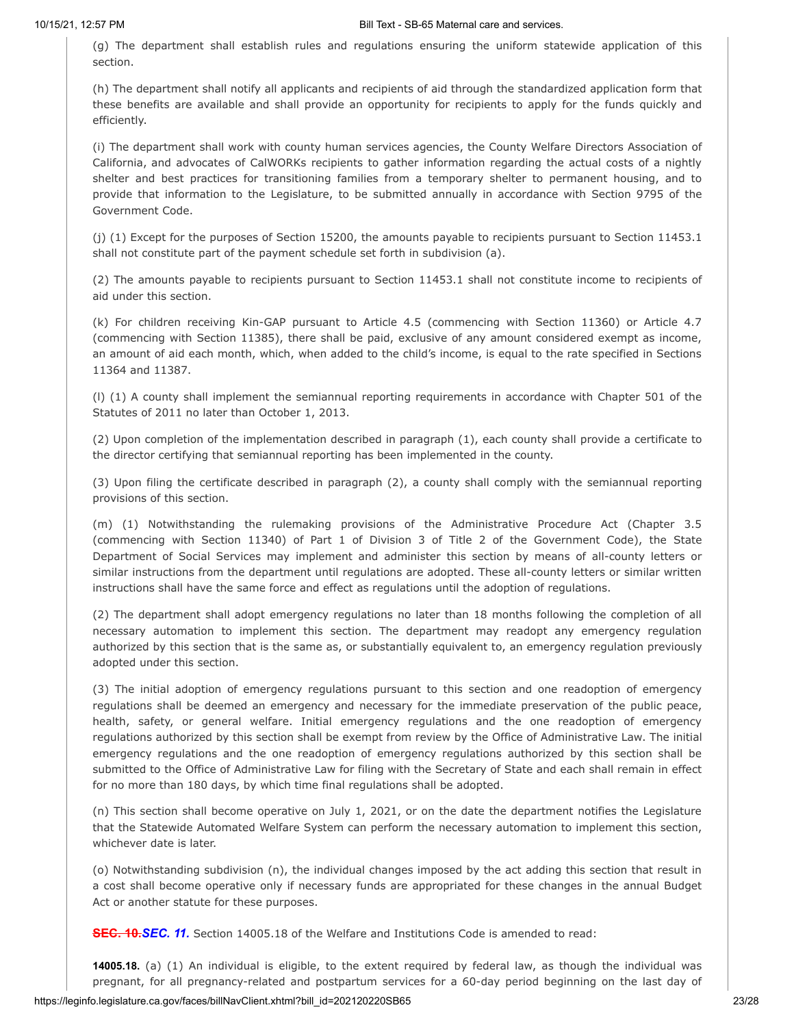(g) The department shall establish rules and regulations ensuring the uniform statewide application of this section.

(h) The department shall notify all applicants and recipients of aid through the standardized application form that these benefits are available and shall provide an opportunity for recipients to apply for the funds quickly and efficiently.

(i) The department shall work with county human services agencies, the County Welfare Directors Association of California, and advocates of CalWORKs recipients to gather information regarding the actual costs of a nightly shelter and best practices for transitioning families from a temporary shelter to permanent housing, and to provide that information to the Legislature, to be submitted annually in accordance with Section 9795 of the Government Code.

(j) (1) Except for the purposes of Section 15200, the amounts payable to recipients pursuant to Section 11453.1 shall not constitute part of the payment schedule set forth in subdivision (a).

(2) The amounts payable to recipients pursuant to Section 11453.1 shall not constitute income to recipients of aid under this section.

(k) For children receiving Kin-GAP pursuant to Article 4.5 (commencing with Section 11360) or Article 4.7 (commencing with Section 11385), there shall be paid, exclusive of any amount considered exempt as income, an amount of aid each month, which, when added to the child's income, is equal to the rate specified in Sections 11364 and 11387.

(l) (1) A county shall implement the semiannual reporting requirements in accordance with Chapter 501 of the Statutes of 2011 no later than October 1, 2013.

(2) Upon completion of the implementation described in paragraph (1), each county shall provide a certificate to the director certifying that semiannual reporting has been implemented in the county.

(3) Upon filing the certificate described in paragraph (2), a county shall comply with the semiannual reporting provisions of this section.

(m) (1) Notwithstanding the rulemaking provisions of the Administrative Procedure Act (Chapter 3.5 (commencing with Section 11340) of Part 1 of Division 3 of Title 2 of the Government Code), the State Department of Social Services may implement and administer this section by means of all-county letters or similar instructions from the department until regulations are adopted. These all-county letters or similar written instructions shall have the same force and effect as regulations until the adoption of regulations.

(2) The department shall adopt emergency regulations no later than 18 months following the completion of all necessary automation to implement this section. The department may readopt any emergency regulation authorized by this section that is the same as, or substantially equivalent to, an emergency regulation previously adopted under this section.

(3) The initial adoption of emergency regulations pursuant to this section and one readoption of emergency regulations shall be deemed an emergency and necessary for the immediate preservation of the public peace, health, safety, or general welfare. Initial emergency regulations and the one readoption of emergency regulations authorized by this section shall be exempt from review by the Office of Administrative Law. The initial emergency regulations and the one readoption of emergency regulations authorized by this section shall be submitted to the Office of Administrative Law for filing with the Secretary of State and each shall remain in effect for no more than 180 days, by which time final regulations shall be adopted.

(n) This section shall become operative on July 1, 2021, or on the date the department notifies the Legislature that the Statewide Automated Welfare System can perform the necessary automation to implement this section, whichever date is later.

(o) Notwithstanding subdivision (n), the individual changes imposed by the act adding this section that result in a cost shall become operative only if necessary funds are appropriated for these changes in the annual Budget Act or another statute for these purposes.

**SEC. 10.***SEC. 11.* Section 14005.18 of the Welfare and Institutions Code is amended to read:

**14005.18.** (a) (1) An individual is eligible, to the extent required by federal law, as though the individual was pregnant, for all pregnancy-related and postpartum services for a 60-day period beginning on the last day of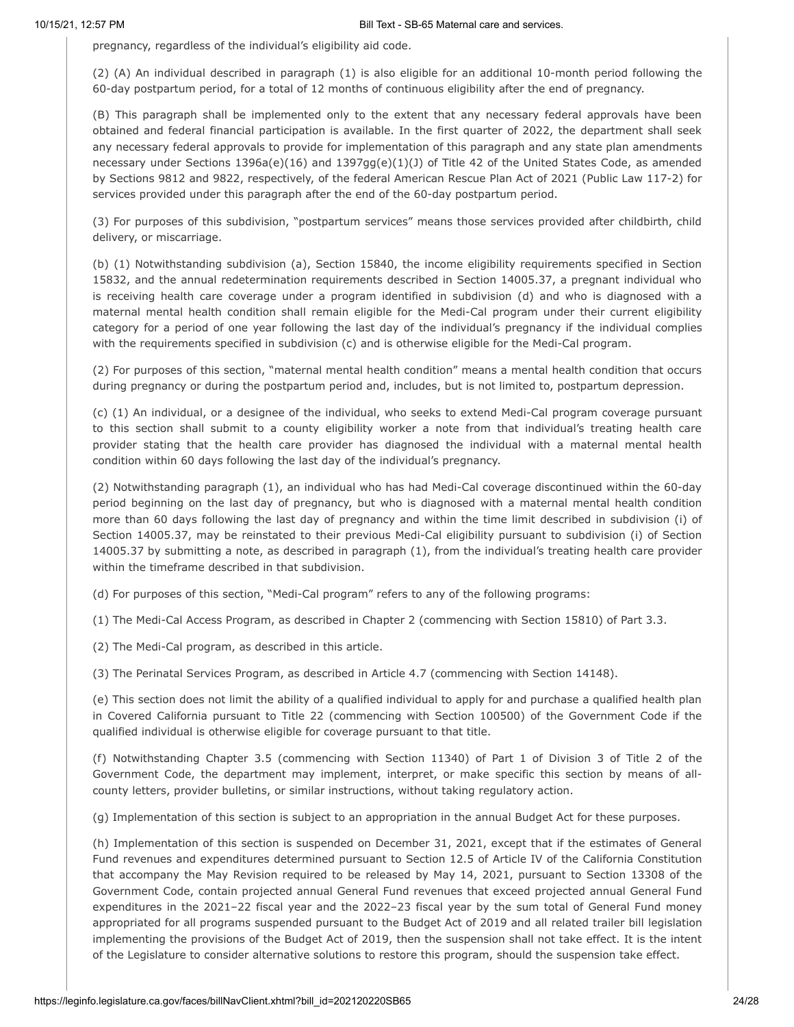pregnancy, regardless of the individual's eligibility aid code.

(2) (A) An individual described in paragraph (1) is also eligible for an additional 10-month period following the 60-day postpartum period, for a total of 12 months of continuous eligibility after the end of pregnancy.

(B) This paragraph shall be implemented only to the extent that any necessary federal approvals have been obtained and federal financial participation is available. In the first quarter of 2022, the department shall seek any necessary federal approvals to provide for implementation of this paragraph and any state plan amendments necessary under Sections 1396a(e)(16) and 1397gg(e)(1)(J) of Title 42 of the United States Code, as amended by Sections 9812 and 9822, respectively, of the federal American Rescue Plan Act of 2021 (Public Law 117-2) for services provided under this paragraph after the end of the 60-day postpartum period.

(3) For purposes of this subdivision, "postpartum services" means those services provided after childbirth, child delivery, or miscarriage.

(b) (1) Notwithstanding subdivision (a), Section 15840, the income eligibility requirements specified in Section 15832, and the annual redetermination requirements described in Section 14005.37, a pregnant individual who is receiving health care coverage under a program identified in subdivision (d) and who is diagnosed with a maternal mental health condition shall remain eligible for the Medi-Cal program under their current eligibility category for a period of one year following the last day of the individual's pregnancy if the individual complies with the requirements specified in subdivision (c) and is otherwise eligible for the Medi-Cal program.

(2) For purposes of this section, "maternal mental health condition" means a mental health condition that occurs during pregnancy or during the postpartum period and, includes, but is not limited to, postpartum depression.

(c) (1) An individual, or a designee of the individual, who seeks to extend Medi-Cal program coverage pursuant to this section shall submit to a county eligibility worker a note from that individual's treating health care provider stating that the health care provider has diagnosed the individual with a maternal mental health condition within 60 days following the last day of the individual's pregnancy.

(2) Notwithstanding paragraph (1), an individual who has had Medi-Cal coverage discontinued within the 60-day period beginning on the last day of pregnancy, but who is diagnosed with a maternal mental health condition more than 60 days following the last day of pregnancy and within the time limit described in subdivision (i) of Section 14005.37, may be reinstated to their previous Medi-Cal eligibility pursuant to subdivision (i) of Section 14005.37 by submitting a note, as described in paragraph (1), from the individual's treating health care provider within the timeframe described in that subdivision.

(d) For purposes of this section, "Medi-Cal program" refers to any of the following programs:

(1) The Medi-Cal Access Program, as described in Chapter 2 (commencing with Section 15810) of Part 3.3.

(2) The Medi-Cal program, as described in this article.

(3) The Perinatal Services Program, as described in Article 4.7 (commencing with Section 14148).

(e) This section does not limit the ability of a qualified individual to apply for and purchase a qualified health plan in Covered California pursuant to Title 22 (commencing with Section 100500) of the Government Code if the qualified individual is otherwise eligible for coverage pursuant to that title.

(f) Notwithstanding Chapter 3.5 (commencing with Section 11340) of Part 1 of Division 3 of Title 2 of the Government Code, the department may implement, interpret, or make specific this section by means of allcounty letters, provider bulletins, or similar instructions, without taking regulatory action.

(g) Implementation of this section is subject to an appropriation in the annual Budget Act for these purposes.

(h) Implementation of this section is suspended on December 31, 2021, except that if the estimates of General Fund revenues and expenditures determined pursuant to Section 12.5 of Article IV of the California Constitution that accompany the May Revision required to be released by May 14, 2021, pursuant to Section 13308 of the Government Code, contain projected annual General Fund revenues that exceed projected annual General Fund expenditures in the 2021–22 fiscal year and the 2022–23 fiscal year by the sum total of General Fund money appropriated for all programs suspended pursuant to the Budget Act of 2019 and all related trailer bill legislation implementing the provisions of the Budget Act of 2019, then the suspension shall not take effect. It is the intent of the Legislature to consider alternative solutions to restore this program, should the suspension take effect.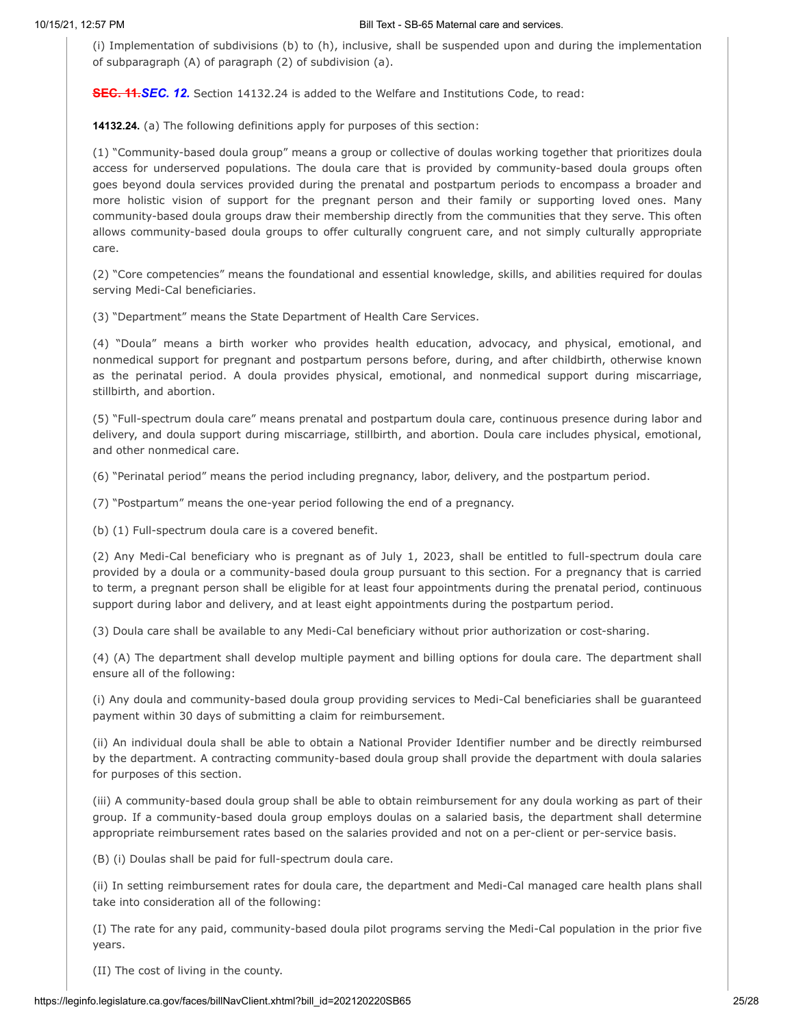(i) Implementation of subdivisions (b) to (h), inclusive, shall be suspended upon and during the implementation of subparagraph (A) of paragraph (2) of subdivision (a).

**SEC. 11.***SEC. 12.* Section 14132.24 is added to the Welfare and Institutions Code, to read:

**14132.24.** (a) The following definitions apply for purposes of this section:

(1) "Community-based doula group" means a group or collective of doulas working together that prioritizes doula access for underserved populations. The doula care that is provided by community-based doula groups often goes beyond doula services provided during the prenatal and postpartum periods to encompass a broader and more holistic vision of support for the pregnant person and their family or supporting loved ones. Many community-based doula groups draw their membership directly from the communities that they serve. This often allows community-based doula groups to offer culturally congruent care, and not simply culturally appropriate care.

(2) "Core competencies" means the foundational and essential knowledge, skills, and abilities required for doulas serving Medi-Cal beneficiaries.

(3) "Department" means the State Department of Health Care Services.

(4) "Doula" means a birth worker who provides health education, advocacy, and physical, emotional, and nonmedical support for pregnant and postpartum persons before, during, and after childbirth, otherwise known as the perinatal period. A doula provides physical, emotional, and nonmedical support during miscarriage, stillbirth, and abortion.

(5) "Full-spectrum doula care" means prenatal and postpartum doula care, continuous presence during labor and delivery, and doula support during miscarriage, stillbirth, and abortion. Doula care includes physical, emotional, and other nonmedical care.

(6) "Perinatal period" means the period including pregnancy, labor, delivery, and the postpartum period.

(7) "Postpartum" means the one-year period following the end of a pregnancy.

(b) (1) Full-spectrum doula care is a covered benefit.

(2) Any Medi-Cal beneficiary who is pregnant as of July 1, 2023, shall be entitled to full-spectrum doula care provided by a doula or a community-based doula group pursuant to this section. For a pregnancy that is carried to term, a pregnant person shall be eligible for at least four appointments during the prenatal period, continuous support during labor and delivery, and at least eight appointments during the postpartum period.

(3) Doula care shall be available to any Medi-Cal beneficiary without prior authorization or cost-sharing.

(4) (A) The department shall develop multiple payment and billing options for doula care. The department shall ensure all of the following:

(i) Any doula and community-based doula group providing services to Medi-Cal beneficiaries shall be guaranteed payment within 30 days of submitting a claim for reimbursement.

(ii) An individual doula shall be able to obtain a National Provider Identifier number and be directly reimbursed by the department. A contracting community-based doula group shall provide the department with doula salaries for purposes of this section.

(iii) A community-based doula group shall be able to obtain reimbursement for any doula working as part of their group. If a community-based doula group employs doulas on a salaried basis, the department shall determine appropriate reimbursement rates based on the salaries provided and not on a per-client or per-service basis.

(B) (i) Doulas shall be paid for full-spectrum doula care.

(ii) In setting reimbursement rates for doula care, the department and Medi-Cal managed care health plans shall take into consideration all of the following:

(I) The rate for any paid, community-based doula pilot programs serving the Medi-Cal population in the prior five years.

(II) The cost of living in the county.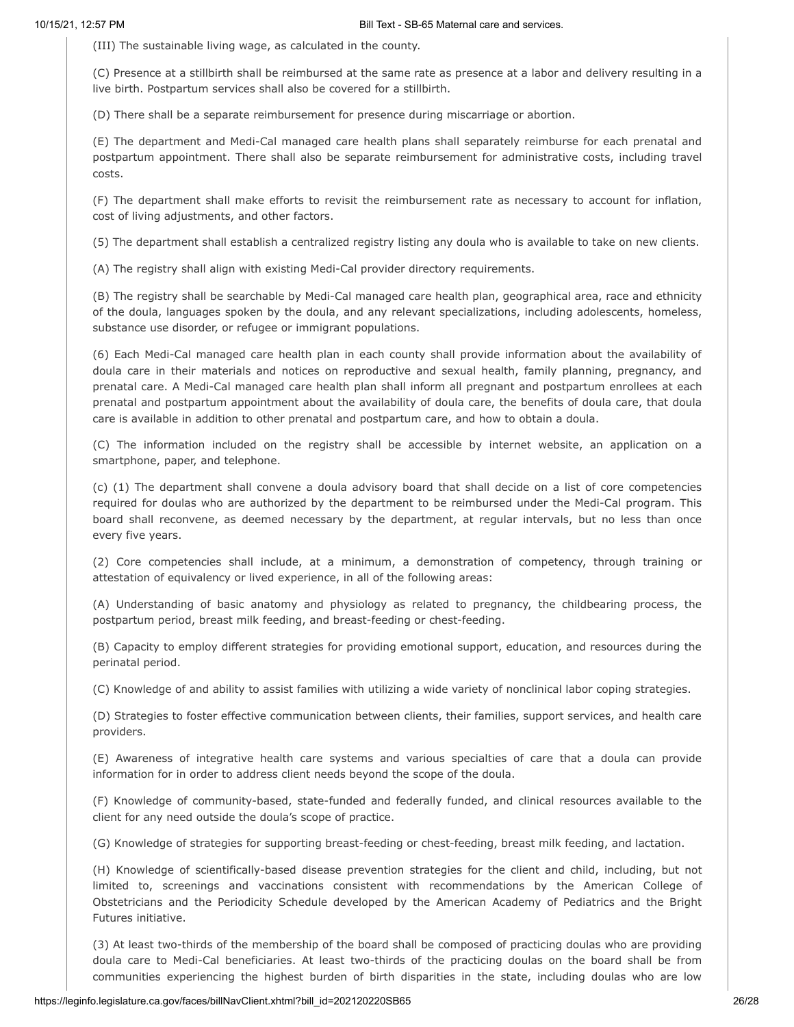(III) The sustainable living wage, as calculated in the county.

(C) Presence at a stillbirth shall be reimbursed at the same rate as presence at a labor and delivery resulting in a live birth. Postpartum services shall also be covered for a stillbirth.

(D) There shall be a separate reimbursement for presence during miscarriage or abortion.

(E) The department and Medi-Cal managed care health plans shall separately reimburse for each prenatal and postpartum appointment. There shall also be separate reimbursement for administrative costs, including travel costs.

(F) The department shall make efforts to revisit the reimbursement rate as necessary to account for inflation, cost of living adjustments, and other factors.

(5) The department shall establish a centralized registry listing any doula who is available to take on new clients.

(A) The registry shall align with existing Medi-Cal provider directory requirements.

(B) The registry shall be searchable by Medi-Cal managed care health plan, geographical area, race and ethnicity of the doula, languages spoken by the doula, and any relevant specializations, including adolescents, homeless, substance use disorder, or refugee or immigrant populations.

(6) Each Medi-Cal managed care health plan in each county shall provide information about the availability of doula care in their materials and notices on reproductive and sexual health, family planning, pregnancy, and prenatal care. A Medi-Cal managed care health plan shall inform all pregnant and postpartum enrollees at each prenatal and postpartum appointment about the availability of doula care, the benefits of doula care, that doula care is available in addition to other prenatal and postpartum care, and how to obtain a doula.

(C) The information included on the registry shall be accessible by internet website, an application on a smartphone, paper, and telephone.

(c) (1) The department shall convene a doula advisory board that shall decide on a list of core competencies required for doulas who are authorized by the department to be reimbursed under the Medi-Cal program. This board shall reconvene, as deemed necessary by the department, at regular intervals, but no less than once every five years.

(2) Core competencies shall include, at a minimum, a demonstration of competency, through training or attestation of equivalency or lived experience, in all of the following areas:

(A) Understanding of basic anatomy and physiology as related to pregnancy, the childbearing process, the postpartum period, breast milk feeding, and breast-feeding or chest-feeding.

(B) Capacity to employ different strategies for providing emotional support, education, and resources during the perinatal period.

(C) Knowledge of and ability to assist families with utilizing a wide variety of nonclinical labor coping strategies.

(D) Strategies to foster effective communication between clients, their families, support services, and health care providers.

(E) Awareness of integrative health care systems and various specialties of care that a doula can provide information for in order to address client needs beyond the scope of the doula.

(F) Knowledge of community-based, state-funded and federally funded, and clinical resources available to the client for any need outside the doula's scope of practice.

(G) Knowledge of strategies for supporting breast-feeding or chest-feeding, breast milk feeding, and lactation.

(H) Knowledge of scientifically-based disease prevention strategies for the client and child, including, but not limited to, screenings and vaccinations consistent with recommendations by the American College of Obstetricians and the Periodicity Schedule developed by the American Academy of Pediatrics and the Bright Futures initiative.

(3) At least two-thirds of the membership of the board shall be composed of practicing doulas who are providing doula care to Medi-Cal beneficiaries. At least two-thirds of the practicing doulas on the board shall be from communities experiencing the highest burden of birth disparities in the state, including doulas who are low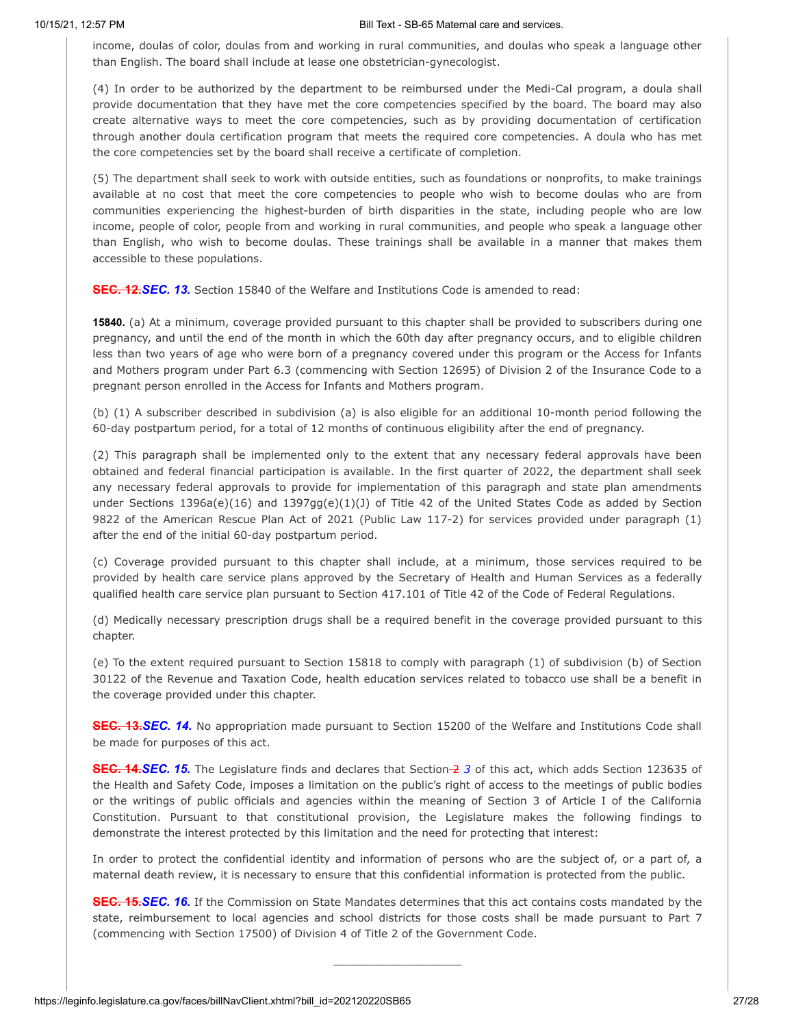income, doulas of color, doulas from and working in rural communities, and doulas who speak a language other than English. The board shall include at lease one obstetrician-gynecologist.

(4) In order to be authorized by the department to be reimbursed under the Medi-Cal program, a doula shall provide documentation that they have met the core competencies specified by the board. The board may also create alternative ways to meet the core competencies, such as by providing documentation of certification through another doula certification program that meets the required core competencies. A doula who has met the core competencies set by the board shall receive a certificate of completion.

(5) The department shall seek to work with outside entities, such as foundations or nonprofits, to make trainings available at no cost that meet the core competencies to people who wish to become doulas who are from communities experiencing the highest-burden of birth disparities in the state, including people who are low income, people of color, people from and working in rural communities, and people who speak a language other than English, who wish to become doulas. These trainings shall be available in a manner that makes them accessible to these populations.

**SEC. 12.***SEC. 13.* Section 15840 of the Welfare and Institutions Code is amended to read:

**15840.** (a) At a minimum, coverage provided pursuant to this chapter shall be provided to subscribers during one pregnancy, and until the end of the month in which the 60th day after pregnancy occurs, and to eligible children less than two years of age who were born of a pregnancy covered under this program or the Access for Infants and Mothers program under Part 6.3 (commencing with Section 12695) of Division 2 of the Insurance Code to a pregnant person enrolled in the Access for Infants and Mothers program.

(b) (1) A subscriber described in subdivision (a) is also eligible for an additional 10-month period following the 60-day postpartum period, for a total of 12 months of continuous eligibility after the end of pregnancy.

(2) This paragraph shall be implemented only to the extent that any necessary federal approvals have been obtained and federal financial participation is available. In the first quarter of 2022, the department shall seek any necessary federal approvals to provide for implementation of this paragraph and state plan amendments under Sections 1396a(e)(16) and 1397gg(e)(1)(J) of Title 42 of the United States Code as added by Section 9822 of the American Rescue Plan Act of 2021 (Public Law 117-2) for services provided under paragraph (1) after the end of the initial 60-day postpartum period.

(c) Coverage provided pursuant to this chapter shall include, at a minimum, those services required to be provided by health care service plans approved by the Secretary of Health and Human Services as a federally qualified health care service plan pursuant to Section 417.101 of Title 42 of the Code of Federal Regulations.

(d) Medically necessary prescription drugs shall be a required benefit in the coverage provided pursuant to this chapter.

(e) To the extent required pursuant to Section 15818 to comply with paragraph (1) of subdivision (b) of Section 30122 of the Revenue and Taxation Code, health education services related to tobacco use shall be a benefit in the coverage provided under this chapter.

**SEC. 13.***SEC. 14.* No appropriation made pursuant to Section 15200 of the Welfare and Institutions Code shall be made for purposes of this act.

**SEC. 14.***SEC. 15.* The Legislature finds and declares that Section 2 *3* of this act, which adds Section 123635 of the Health and Safety Code, imposes a limitation on the public's right of access to the meetings of public bodies or the writings of public officials and agencies within the meaning of Section 3 of Article I of the California Constitution. Pursuant to that constitutional provision, the Legislature makes the following findings to demonstrate the interest protected by this limitation and the need for protecting that interest:

In order to protect the confidential identity and information of persons who are the subject of, or a part of, a maternal death review, it is necessary to ensure that this confidential information is protected from the public.

**SEC. 15.***SEC. 16.* If the Commission on State Mandates determines that this act contains costs mandated by the state, reimbursement to local agencies and school districts for those costs shall be made pursuant to Part 7 (commencing with Section 17500) of Division 4 of Title 2 of the Government Code.

\_\_\_\_\_\_\_\_\_\_\_\_\_\_\_\_\_\_\_